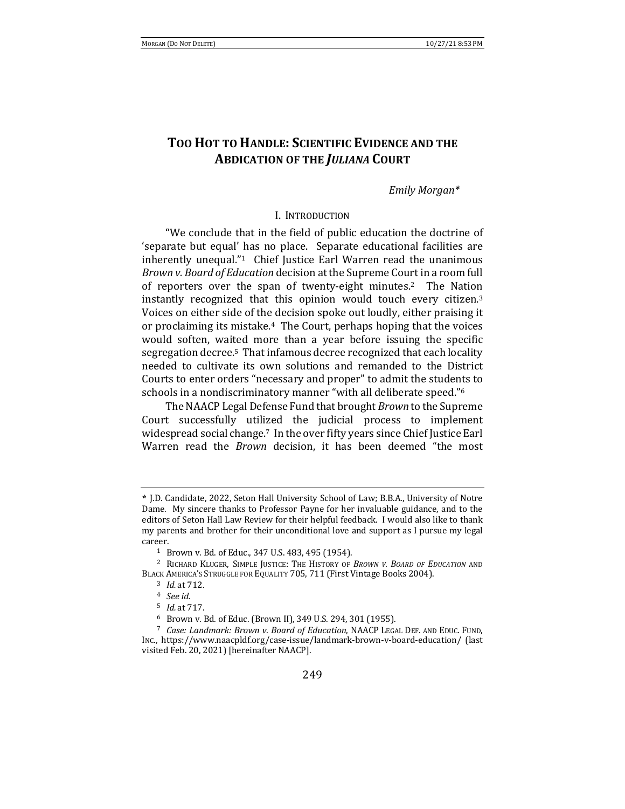# TOO HOT TO HANDLE: **SCIENTIFIC EVIDENCE AND THE ABDICATION OF THE JULIANA COURT**

### *Emily Morgan\**

### I. INTRODUCTION

"We conclude that in the field of public education the doctrine of 'separate but equal' has no place. Separate educational facilities are inherently unequal."<sup>1</sup> Chief Justice Earl Warren read the unanimous *Brown v. Board of Education* decision at the Supreme Court in a room full of reporters over the span of twenty-eight minutes.<sup>2</sup> The Nation instantly recognized that this opinion would touch every citizen.<sup>3</sup> Voices on either side of the decision spoke out loudly, either praising it or proclaiming its mistake.<sup>4</sup> The Court, perhaps hoping that the voices would soften, waited more than a year before issuing the specific segregation decree.<sup>5</sup> That infamous decree recognized that each locality needed to cultivate its own solutions and remanded to the District Courts to enter orders "necessary and proper" to admit the students to schools in a nondiscriminatory manner "with all deliberate speed."<sup>6</sup>

The NAACP Legal Defense Fund that brought *Brown* to the Supreme Court successfully utilized the judicial process to implement widespread social change.<sup>7</sup> In the over fifty years since Chief Justice Earl Warren read the *Brown* decision, it has been deemed "the most

**<sup>\*</sup>** J.D. Candidate, 2022, Seton Hall University School of Law; B.B.A., University of Notre Dame. My sincere thanks to Professor Payne for her invaluable guidance, and to the editors of Seton Hall Law Review for their helpful feedback. I would also like to thank my parents and brother for their unconditional love and support as I pursue my legal career.

<sup>&</sup>lt;sup>1</sup> Brown v. Bd. of Educ., 347 U.S. 483, 495 (1954).

<sup>&</sup>lt;sup>2</sup> RICHARD KLUGER, SIMPLE JUSTICE: THE HISTORY OF *BROWN V. BOARD OF EDUCATION* AND BLACK AMERICA'S STRUGGLE FOR EQUALITY 705, 711 (First Vintage Books 2004).

<sup>&</sup>lt;sup>3</sup> *Id.* at 712.

<sup>4</sup> *See id.*

<sup>5</sup> *Id.* at 717.

<sup>&</sup>lt;sup>6</sup> Brown v. Bd. of Educ. (Brown II), 349 U.S. 294, 301 (1955).

<sup>&</sup>lt;sup>7</sup> Case: Landmark: Brown v. Board of Education, NAACP LEGAL DEF. AND EDUC. FUND, INC., https://www.naacpldf.org/case-issue/landmark-brown-v-board-education/ (last visited Feb. 20, 2021) [hereinafter NAACP].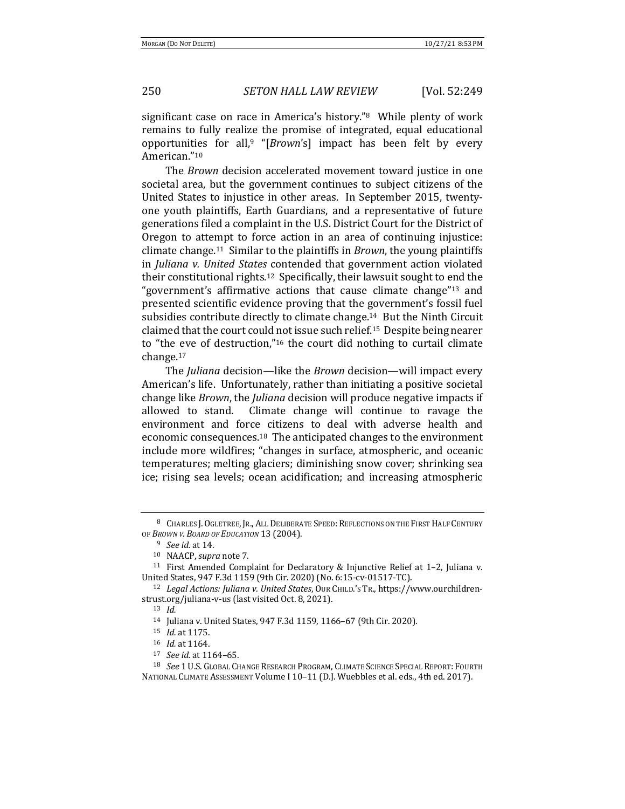significant case on race in America's history." $8$  While plenty of work remains to fully realize the promise of integrated, equal educational opportunities for all,<sup>9</sup> "[*Brown*'s] impact has been felt by every American."10 

The *Brown* decision accelerated movement toward justice in one societal area, but the government continues to subject citizens of the United States to injustice in other areas. In September 2015, twentyone youth plaintiffs, Earth Guardians, and a representative of future generations filed a complaint in the U.S. District Court for the District of Oregon to attempt to force action in an area of continuing injustice: climate change.<sup>11</sup> Similar to the plaintiffs in *Brown*, the young plaintiffs in *Juliana v. United States* contended that government action violated their constitutional rights.<sup>12</sup> Specifically, their lawsuit sought to end the "government's affirmative actions that cause climate change"<sup>13</sup> and presented scientific evidence proving that the government's fossil fuel subsidies contribute directly to climate change.<sup>14</sup> But the Ninth Circuit claimed that the court could not issue such relief.<sup>15</sup> Despite being nearer to "the eve of destruction,"<sup>16</sup> the court did nothing to curtail climate change.17 

The *Juliana* decision—like the *Brown* decision—will impact every American's life. Unfortunately, rather than initiating a positive societal change like *Brown*, the *Juliana* decision will produce negative impacts if allowed to stand. Climate change will continue to ravage the environment and force citizens to deal with adverse health and economic consequences.<sup>18</sup> The anticipated changes to the environment include more wildfires; "changes in surface, atmospheric, and oceanic temperatures; melting glaciers; diminishing snow cover; shrinking sea ice; rising sea levels; ocean acidification; and increasing atmospheric

<sup>17</sup> *See id.* at 1164–65.

<sup>8</sup> CHARLES J. OGLETREE, JR., ALL DELIBERATE SPEED: REFLECTIONS ON THE FIRST HALF CENTURY OF BROWN V. BOARD OF EDUCATION 13 (2004).

<sup>&</sup>lt;sup>9</sup> *See id.* at 14.

<sup>10</sup> NAACP, *supra* note 7.

<sup>&</sup>lt;sup>11</sup> First Amended Complaint for Declaratory & Injunctive Relief at 1–2, Juliana v. United States, 947 F.3d 1159 (9th Cir. 2020) (No. 6:15-cv-01517-TC).

<sup>&</sup>lt;sup>12</sup> *Legal Actions: Juliana v. United States*, OUR CHILD.'S TR., https://www.ourchildrenstrust.org/juliana-v-us (last visited Oct. 8, 2021).

<sup>13</sup> *Id.*

<sup>14</sup> Juliana v. United States, 947 F.3d 1159, 1166-67 (9th Cir. 2020).

<sup>15</sup> *Id.* at 1175.

<sup>16</sup> *Id.* at 1164.

<sup>18</sup> *See* 1 U.S. Global Change Research Program, Climate Science Special Report: Fourth NATIONAL CLIMATE ASSESSMENT Volume I 10-11 (D.J. Wuebbles et al. eds., 4th ed. 2017).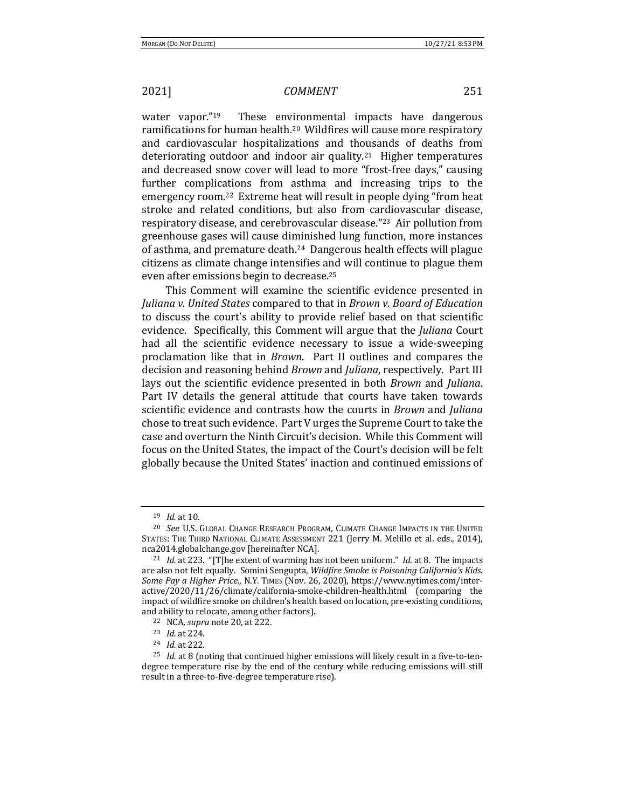water vapor." $19$  These environmental impacts have dangerous ramifications for human health.<sup>20</sup> Wildfires will cause more respiratory and cardiovascular hospitalizations and thousands of deaths from deteriorating outdoor and indoor air quality.<sup>21</sup> Higher temperatures and decreased snow cover will lead to more "frost-free days," causing further complications from asthma and increasing trips to the emergency room.<sup>22</sup> Extreme heat will result in people dying "from heat stroke and related conditions, but also from cardiovascular disease, respiratory disease, and cerebrovascular disease."<sup>23</sup> Air pollution from greenhouse gases will cause diminished lung function, more instances of asthma, and premature death.<sup>24</sup> Dangerous health effects will plague citizens as climate change intensifies and will continue to plague them even after emissions begin to decrease.<sup>25</sup>

This Comment will examine the scientific evidence presented in *Juliana v. United States* compared to that in *Brown v. Board of Education* to discuss the court's ability to provide relief based on that scientific evidence. Specifically, this Comment will argue that the *Juliana* Court had all the scientific evidence necessary to issue a wide-sweeping proclamation like that in *Brown*. Part II outlines and compares the decision and reasoning behind *Brown* and *Juliana*, respectively. Part III lays out the scientific evidence presented in both *Brown* and *Juliana*. Part IV details the general attitude that courts have taken towards scientific evidence and contrasts how the courts in *Brown* and *Juliana* chose to treat such evidence. Part V urges the Supreme Court to take the case and overturn the Ninth Circuit's decision. While this Comment will focus on the United States, the impact of the Court's decision will be felt globally because the United States' inaction and continued emissions of

<sup>19</sup> *Id.* at 10.

<sup>&</sup>lt;sup>20</sup> See U.S. GLOBAL CHANGE RESEARCH PROGRAM, CLIMATE CHANGE IMPACTS IN THE UNITED STATES: THE THIRD NATIONAL CLIMATE ASSESSMENT 221 (Jerry M. Melillo et al. eds., 2014), nca2014.globalchange.gov [hereinafter NCA].

<sup>&</sup>lt;sup>21</sup> *Id.* at 223. "[T]he extent of warming has not been uniform." *Id.* at 8. The impacts are also not felt equally. Somini Sengupta, *Wildfire Smoke is Poisoning California's Kids.* Some Pay a Higher Price., N.Y. TIMES (Nov. 26, 2020), https://www.nytimes.com/inter $active/2020/11/26$ /climate/california-smoke-children-health.html (comparing the impact of wildfire smoke on children's health based on location, pre-existing conditions, and ability to relocate, among other factors).

<sup>&</sup>lt;sup>22</sup> NCA, *supra* note 20, at 222.

<sup>23</sup> *Id.* at 224.

<sup>24</sup> *Id.* at 222.

 $25$  *Id.* at 8 (noting that continued higher emissions will likely result in a five-to-tendegree temperature rise by the end of the century while reducing emissions will still result in a three-to-five-degree temperature rise).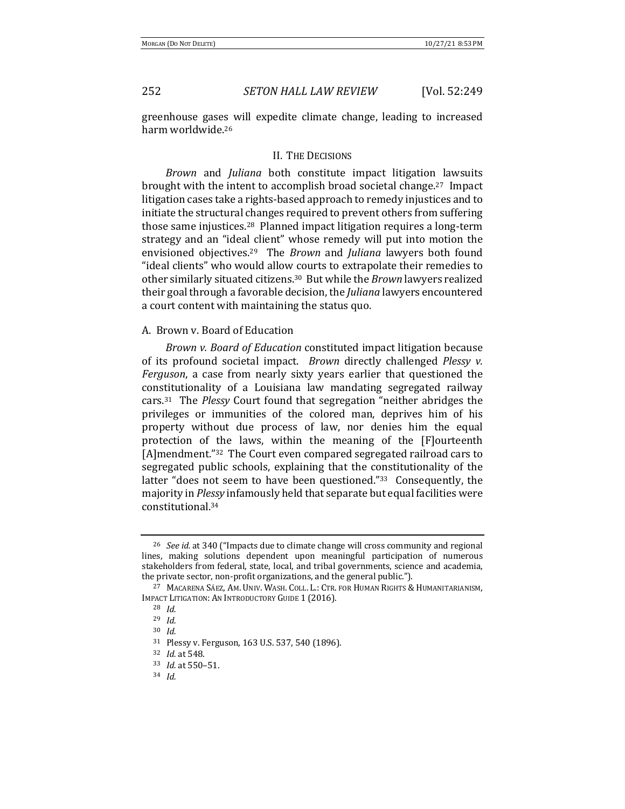greenhouse gases will expedite climate change, leading to increased harm worldwide.<sup>26</sup>

### II. THE DECISIONS

*Brown* and *Juliana* both constitute impact litigation lawsuits brought with the intent to accomplish broad societal change.<sup>27</sup> Impact litigation cases take a rights-based approach to remedy injustices and to initiate the structural changes required to prevent others from suffering those same injustices.<sup>28</sup> Planned impact litigation requires a long-term strategy and an "ideal client" whose remedy will put into motion the envisioned objectives.<sup>29</sup> The *Brown* and *Juliana* lawyers both found "ideal clients" who would allow courts to extrapolate their remedies to other similarly situated citizens.<sup>30</sup> But while the *Brown* lawyers realized their goal through a favorable decision, the *Juliana* lawyers encountered a court content with maintaining the status quo.

### A. Brown v. Board of Education

*Brown v. Board of Education* constituted impact litigation because of its profound societal impact. *Brown* directly challenged *Plessy v. Ferguson*, a case from nearly sixty years earlier that questioned the constitutionality of a Louisiana law mandating segregated railway cars.<sup>31</sup> The *Plessy* Court found that segregation "neither abridges the privileges or immunities of the colored man, deprives him of his property without due process of law, nor denies him the equal protection of the laws, within the meaning of the [F]ourteenth [A]mendment."<sup>32</sup> The Court even compared segregated railroad cars to segregated public schools, explaining that the constitutionality of the latter "does not seem to have been questioned." $33$  Consequently, the majority in *Plessy* infamously held that separate but equal facilities were constitutional. 34

<sup>&</sup>lt;sup>26</sup> *See id.* at 340 ("Impacts due to climate change will cross community and regional lines, making solutions dependent upon meaningful participation of numerous stakeholders from federal, state, local, and tribal governments, science and academia, the private sector, non-profit organizations, and the general public.").

<sup>&</sup>lt;sup>27</sup> MACARENA SÁEZ, AM. UNIV. WASH. COLL. L.: CTR. FOR HUMAN RIGHTS & HUMANITARIANISM, IMPACT LITIGATION: AN INTRODUCTORY GUIDE 1 (2016).

<sup>28</sup> *Id.*

<sup>29</sup> *Id.*

<sup>30</sup> *Id.*

 $31$  Plessy v. Ferguson, 163 U.S. 537, 540 (1896).

<sup>32</sup> *Id.* at 548.

<sup>33</sup> *Id.* at 550-51.

<sup>34</sup> *Id.*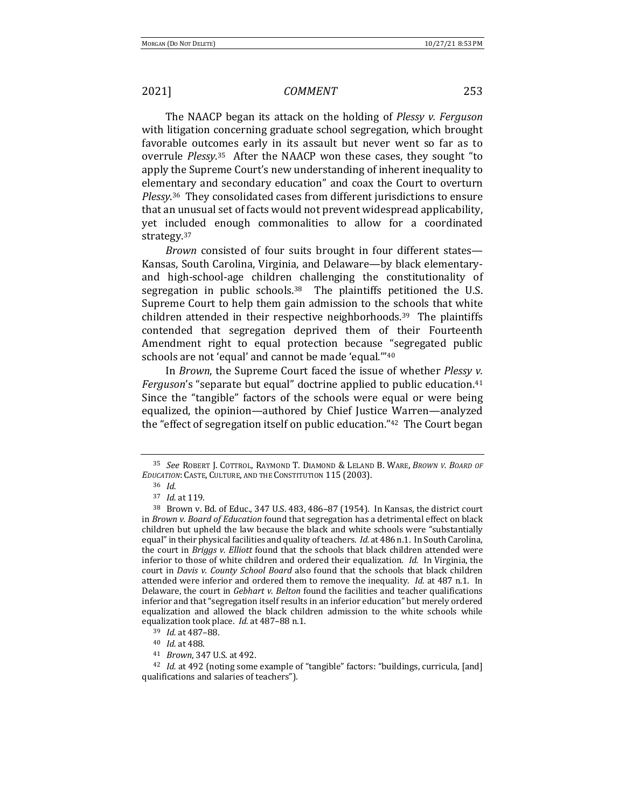The NAACP began its attack on the holding of *Plessy v. Ferguson* with litigation concerning graduate school segregation, which brought favorable outcomes early in its assault but never went so far as to overrule *Plessy*.<sup>35</sup> After the NAACP won these cases, they sought "to apply the Supreme Court's new understanding of inherent inequality to elementary and secondary education" and coax the Court to overturn Plessy.<sup>36</sup> They consolidated cases from different jurisdictions to ensure that an unusual set of facts would not prevent widespread applicability, yet included enough commonalities to allow for a coordinated strategy.37 

*Brown* consisted of four suits brought in four different states— Kansas, South Carolina, Virginia, and Delaware—by black elementaryand high-school-age children challenging the constitutionality of segregation in public schools.<sup>38</sup> The plaintiffs petitioned the U.S. Supreme Court to help them gain admission to the schools that white children attended in their respective neighborhoods.<sup>39</sup> The plaintiffs contended that segregation deprived them of their Fourteenth Amendment right to equal protection because "segregated public schools are not 'equal' and cannot be made 'equal."<sup>40</sup>

In *Brown*, the Supreme Court faced the issue of whether *Plessy v. Ferguson*'s "separate but equal" doctrine applied to public education.<sup>41</sup> Since the "tangible" factors of the schools were equal or were being equalized, the opinion—authored by Chief Justice Warren—analyzed the "effect of segregation itself on public education." $42$  The Court began

<sup>&</sup>lt;sup>35</sup> *See* ROBERT J. COTTROL, RAYMOND T. DIAMOND & LELAND B. WARE, BROWN V. BOARD OF *EDUCATION*: CASTE, CULTURE, AND THE CONSTITUTION 115 (2003).

<sup>36</sup> *Id.*

<sup>37</sup> *Id.* at 119.

<sup>&</sup>lt;sup>38</sup> Brown v. Bd. of Educ., 347 U.S. 483, 486-87 (1954). In Kansas, the district court in *Brown v. Board of Education* found that segregation has a detrimental effect on black children but upheld the law because the black and white schools were "substantially equal" in their physical facilities and quality of teachers. *Id.* at 486 n.1. In South Carolina, the court in *Briggs v. Elliott* found that the schools that black children attended were inferior to those of white children and ordered their equalization. *Id.* In Virginia, the court in *Davis v. County School Board* also found that the schools that black children attended were inferior and ordered them to remove the inequality. *Id.* at 487 n.1. In Delaware, the court in *Gebhart v. Belton* found the facilities and teacher qualifications inferior and that "segregation itself results in an inferior education" but merely ordered equalization and allowed the black children admission to the white schools while equalization took place. *Id.* at 487-88 n.1.

<sup>39</sup> *Id.* at 487-88.

<sup>40</sup> *Id.* at 488.

<sup>41</sup> *Brown*, 347 U.S. at 492.

<sup>&</sup>lt;sup>42</sup> *Id.* at 492 (noting some example of "tangible" factors: "buildings, curricula, [and] qualifications and salaries of teachers").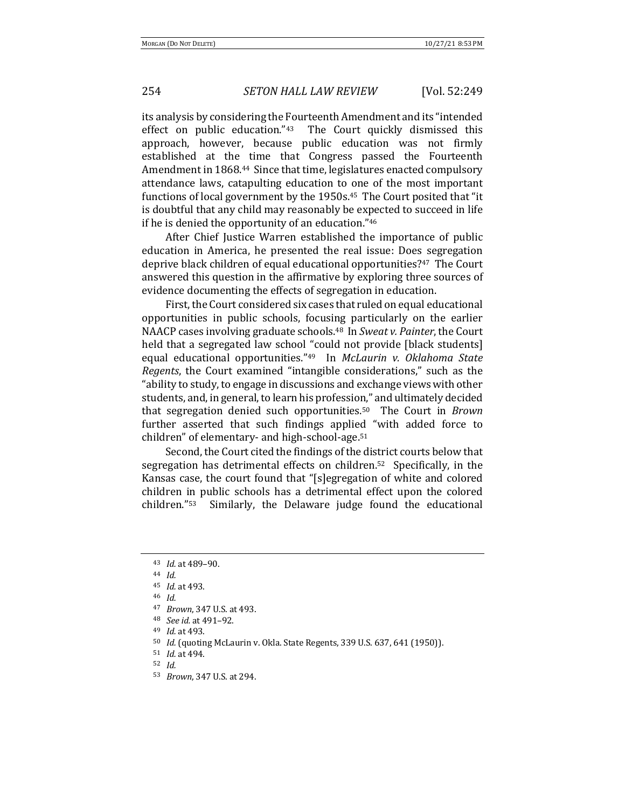its analysis by considering the Fourteenth Amendment and its "intended effect on public education." $43$  The Court quickly dismissed this approach, however, because public education was not firmly established at the time that Congress passed the Fourteenth Amendment in 1868.<sup>44</sup> Since that time, legislatures enacted compulsory attendance laws, catapulting education to one of the most important functions of local government by the 1950s.<sup>45</sup> The Court posited that "it is doubtful that any child may reasonably be expected to succeed in life if he is denied the opportunity of an education."46

After Chief Justice Warren established the importance of public education in America, he presented the real issue: Does segregation deprive black children of equal educational opportunities?<sup>47</sup> The Court answered this question in the affirmative by exploring three sources of evidence documenting the effects of segregation in education.

First, the Court considered six cases that ruled on equal educational opportunities in public schools, focusing particularly on the earlier NAACP cases involving graduate schools.<sup>48</sup> In *Sweat v. Painter*, the Court held that a segregated law school "could not provide [black students] equal educational opportunities."<sup>49</sup> In *McLaurin v. Oklahoma State Regents*, the Court examined "intangible considerations," such as the "ability to study, to engage in discussions and exchange views with other students, and, in general, to learn his profession," and ultimately decided that segregation denied such opportunities.<sup>50</sup> The Court in *Brown* further asserted that such findings applied "with added force to children" of elementary- and high-school-age.<sup>51</sup>

Second, the Court cited the findings of the district courts below that segregation has detrimental effects on children.<sup>52</sup> Specifically, in the Kansas case, the court found that "[s]egregation of white and colored children in public schools has a detrimental effect upon the colored children."<sup>53</sup> Similarly, the Delaware judge found the educational

53 *Brown*, 347 U.S. at 294.

<sup>43</sup> *Id.* at 489-90.

<sup>44</sup> *Id.*

<sup>45</sup> *Id.* at 493. <sup>46</sup> *Id.*

<sup>47</sup> *Brown*, 347 U.S. at 493.

<sup>48</sup> *See id.* at 491–92.

<sup>49</sup> *Id.* at 493.

<sup>&</sup>lt;sup>50</sup> *Id.* (quoting McLaurin v. Okla. State Regents, 339 U.S. 637, 641 (1950)).

<sup>51</sup> *Id.* at 494.

<sup>52</sup> *Id.*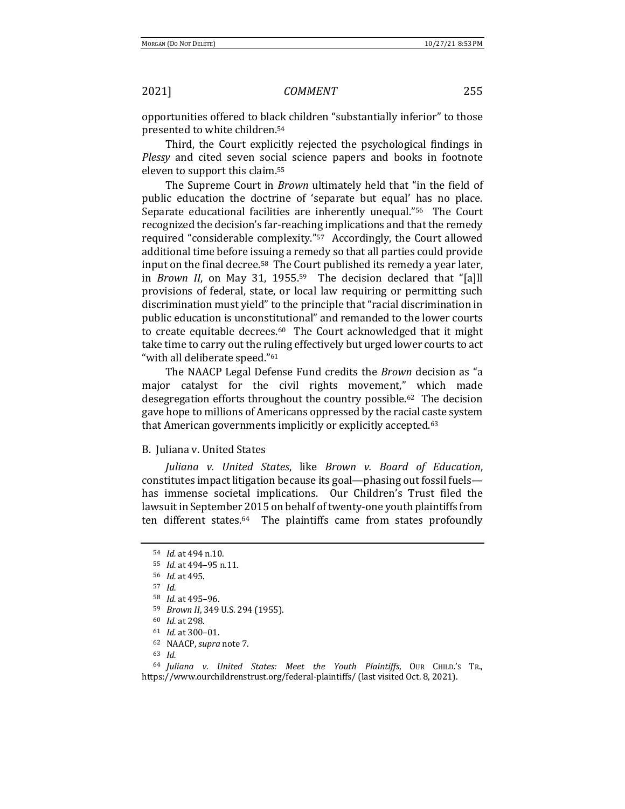opportunities offered to black children "substantially inferior" to those presented to white children.<sup>54</sup>

Third, the Court explicitly rejected the psychological findings in *Plessy* and cited seven social science papers and books in footnote eleven to support this claim.<sup>55</sup>

The Supreme Court in *Brown* ultimately held that "in the field of public education the doctrine of 'separate but equal' has no place. Separate educational facilities are inherently unequal." $56$  The Court recognized the decision's far-reaching implications and that the remedy required "considerable complexity."<sup>57</sup> Accordingly, the Court allowed additional time before issuing a remedy so that all parties could provide input on the final decree.<sup>58</sup> The Court published its remedy a year later, in *Brown II*, on May 31, 1955.<sup>59</sup> The decision declared that "[a]ll provisions of federal, state, or local law requiring or permitting such discrimination must yield" to the principle that "racial discrimination in public education is unconstitutional" and remanded to the lower courts to create equitable decrees.<sup>60</sup> The Court acknowledged that it might take time to carry out the ruling effectively but urged lower courts to act "with all deliberate speed."<sup>61</sup>

The NAACP Legal Defense Fund credits the *Brown* decision as "a major catalyst for the civil rights movement," which made desegregation efforts throughout the country possible.<sup>62</sup> The decision gave hope to millions of Americans oppressed by the racial caste system that American governments implicitly or explicitly accepted.<sup>63</sup>

### **B.** Juliana v. United States

*Juliana v. United States*, like *Brown v. Board of Education*, constitutes impact litigation because its goal—phasing out fossil fuels has immense societal implications. Our Children's Trust filed the lawsuit in September 2015 on behalf of twenty-one youth plaintiffs from ten different states.<sup>64</sup> The plaintiffs came from states profoundly

<sup>63</sup> *Id.*

<sup>64</sup> *Juliana v. United States: Meet the Youth Plaintiffs*, OUR CHILD.'S TR., https://www.ourchildrenstrust.org/federal-plaintiffs/ (last visited Oct. 8, 2021).

<sup>54</sup> *Id.* at 494 n.10.

<sup>&</sup>lt;sup>55</sup> *Id.* at 494-95 n.11.

<sup>56</sup> *Id.* at 495.

<sup>57</sup> *Id.*

<sup>58</sup> *Id.* at 495–96.

<sup>59</sup> *Brown II*, 349 U.S. 294 (1955).

<sup>60</sup> *Id.* at 298.

<sup>&</sup>lt;sup>61</sup> *Id.* at 300-01.

<sup>&</sup>lt;sup>62</sup> NAACP, *supra* note 7.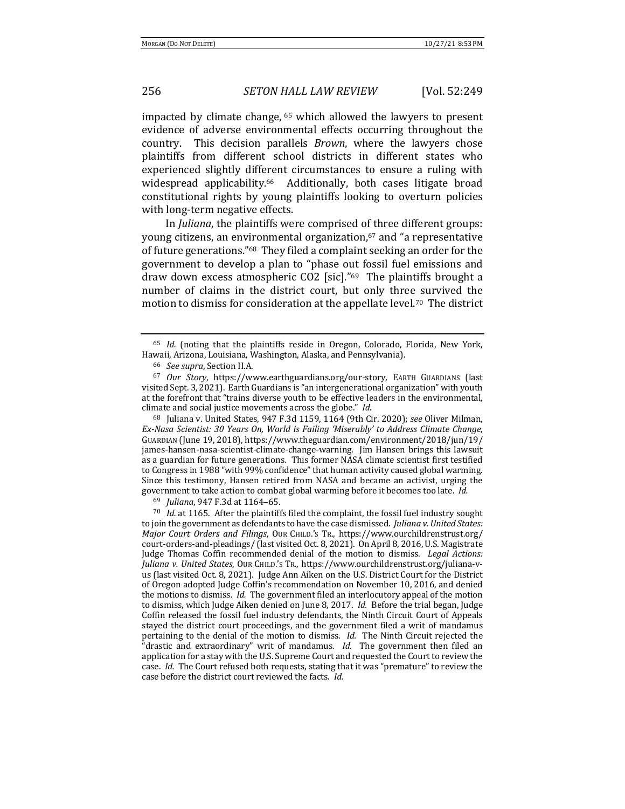impacted by climate change,  $65$  which allowed the lawyers to present evidence of adverse environmental effects occurring throughout the country. This decision parallels *Brown*, where the lawyers chose plaintiffs from different school districts in different states who experienced slightly different circumstances to ensure a ruling with widespread applicability.<sup>66</sup> Additionally, both cases litigate broad constitutional rights by young plaintiffs looking to overturn policies with long-term negative effects.

In *Juliana*, the plaintiffs were comprised of three different groups: young citizens, an environmental organization,<sup>67</sup> and "a representative of future generations."<sup>68</sup> They filed a complaint seeking an order for the government to develop a plan to "phase out fossil fuel emissions and draw down excess atmospheric  $CO2$  [sic]."<sup>69</sup> The plaintiffs brought a number of claims in the district court, but only three survived the motion to dismiss for consideration at the appellate level.<sup>70</sup> The district

<sup>68</sup> Juliana v. United States, 947 F.3d 1159, 1164 (9th Cir. 2020); see Oliver Milman, *Ex-Nasa Scientist: 30 Years On, World is Failing 'Miserably' to Address Climate Change*, GUARDIAN (June 19, 2018), https://www.theguardian.com/environment/2018/jun/19/ james-hansen-nasa-scientist-climate-change-warning. Jim Hansen brings this lawsuit as a guardian for future generations. This former NASA climate scientist first testified to Congress in 1988 "with 99% confidence" that human activity caused global warming. Since this testimony, Hansen retired from NASA and became an activist, urging the government to take action to combat global warming before it becomes too late. *Id.* 

69 *Juliana*, 947 F.3d at 1164-65.

 $70$  *Id.* at 1165. After the plaintiffs filed the complaint, the fossil fuel industry sought to join the government as defendants to have the case dismissed. *Juliana v. United States: Major Court Orders and Filings*, OUR CHILD.'s TR., https://www.ourchildrenstrust.org/ court-orders-and-pleadings/ (last visited Oct. 8, 2021). On April 8, 2016, U.S. Magistrate Judge Thomas Coffin recommended denial of the motion to dismiss. Legal Actions: Juliana v. United States, OUR CHILD.'s TR., https://www.ourchildrenstrust.org/juliana-vus (last visited Oct. 8, 2021). Judge Ann Aiken on the U.S. District Court for the District of Oregon adopted Judge Coffin's recommendation on November 10, 2016, and denied the motions to dismiss. *Id.* The government filed an interlocutory appeal of the motion to dismiss, which Judge Aiken denied on June 8, 2017. *Id.* Before the trial began, Judge Coffin released the fossil fuel industry defendants, the Ninth Circuit Court of Appeals stayed the district court proceedings, and the government filed a writ of mandamus pertaining to the denial of the motion to dismiss. *Id.* The Ninth Circuit rejected the "drastic and extraordinary" writ of mandamus. *Id.* The government then filed an application for a stay with the U.S. Supreme Court and requested the Court to review the case. *Id.* The Court refused both requests, stating that it was "premature" to review the case before the district court reviewed the facts. *Id.* 

<sup>&</sup>lt;sup>65</sup> *Id.* (noting that the plaintiffs reside in Oregon, Colorado, Florida, New York, Hawaii, Arizona, Louisiana, Washington, Alaska, and Pennsylvania).

<sup>66</sup> *See supra*, Section II.A.

<sup>&</sup>lt;sup>67</sup> Our Story, https://www.earthguardians.org/our-story, EARTH GUARDIANS (last visited Sept. 3, 2021). Earth Guardians is "an intergenerational organization" with youth at the forefront that "trains diverse youth to be effective leaders in the environmental, climate and social justice movements across the globe." *Id.*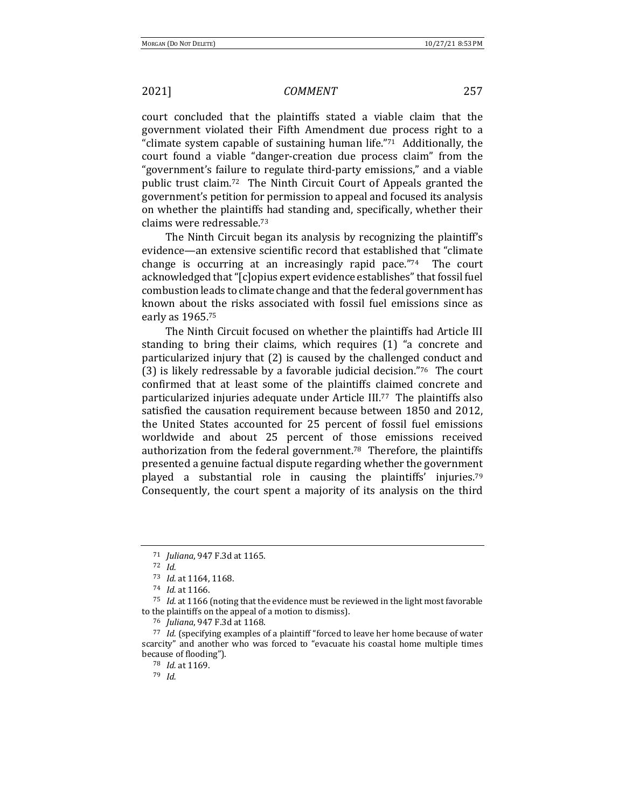court concluded that the plaintiffs stated a viable claim that the government violated their Fifth Amendment due process right to a "climate system capable of sustaining human life."<sup>71</sup> Additionally, the court found a viable "danger-creation due process claim" from the "government's failure to regulate third-party emissions," and a viable public trust claim.<sup>72</sup> The Ninth Circuit Court of Appeals granted the government's petition for permission to appeal and focused its analysis on whether the plaintiffs had standing and, specifically, whether their claims were redressable.<sup>73</sup>

The Ninth Circuit began its analysis by recognizing the plaintiff's evidence—an extensive scientific record that established that "climate change is occurring at an increasingly rapid pace." $74$  The court acknowledged that "[c]opius expert evidence establishes" that fossil fuel combustion leads to climate change and that the federal government has known about the risks associated with fossil fuel emissions since as early as 1965.<sup>75</sup>

The Ninth Circuit focused on whether the plaintiffs had Article III standing to bring their claims, which requires  $(1)$  "a concrete and particularized injury that (2) is caused by the challenged conduct and (3) is likely redressable by a favorable judicial decision."76 The court confirmed that at least some of the plaintiffs claimed concrete and particularized injuries adequate under Article  $III^{77}$  The plaintiffs also satisfied the causation requirement because between 1850 and 2012, the United States accounted for 25 percent of fossil fuel emissions worldwide and about 25 percent of those emissions received authorization from the federal government.<sup>78</sup> Therefore, the plaintiffs presented a genuine factual dispute regarding whether the government played a substantial role in causing the plaintiffs' injuries.<sup>79</sup> Consequently, the court spent a majority of its analysis on the third

<sup>71</sup> *Juliana*, 947 F.3d at 1165.

<sup>72</sup> *Id.*

<sup>73</sup> *Id.* at 1164, 1168.

<sup>74</sup> *Id.* at 1166.

<sup>&</sup>lt;sup>75</sup> *Id.* at 1166 (noting that the evidence must be reviewed in the light most favorable to the plaintiffs on the appeal of a motion to dismiss).

<sup>76</sup> *Juliana*, 947 F.3d at 1168.

<sup>77</sup> *Id.* (specifying examples of a plaintiff "forced to leave her home because of water scarcity" and another who was forced to "evacuate his coastal home multiple times because of flooding").

<sup>78</sup> *Id.* at 1169.

<sup>79</sup> *Id.*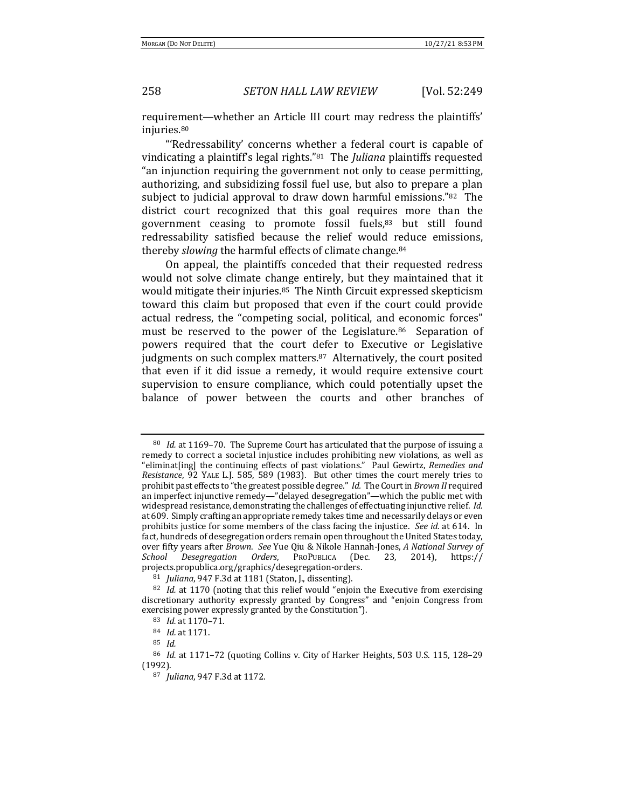requirement—whether an Article III court may redress the plaintiffs' injuries.80

"'Redressability' concerns whether a federal court is capable of vindicating a plaintiff's legal rights."<sup>81</sup> The *Juliana* plaintiffs requested "an injunction requiring the government not only to cease permitting, authorizing, and subsidizing fossil fuel use, but also to prepare a plan subject to judicial approval to draw down harmful emissions." $82$  The district court recognized that this goal requires more than the government ceasing to promote fossil fuels, $83$  but still found redressability satisfied because the relief would reduce emissions, thereby *slowing* the harmful effects of climate change.<sup>84</sup>

On appeal, the plaintiffs conceded that their requested redress would not solve climate change entirely, but they maintained that it would mitigate their injuries.<sup>85</sup> The Ninth Circuit expressed skepticism toward this claim but proposed that even if the court could provide actual redress, the "competing social, political, and economic forces" must be reserved to the power of the Legislature. $86$  Separation of powers required that the court defer to Executive or Legislative judgments on such complex matters. $87$  Alternatively, the court posited that even if it did issue a remedy, it would require extensive court supervision to ensure compliance, which could potentially upset the balance of power between the courts and other branches of

<sup>80</sup> *Id.* at 1169–70. The Supreme Court has articulated that the purpose of issuing a remedy to correct a societal injustice includes prohibiting new violations, as well as "eliminat[ing] the continuing effects of past violations." Paul Gewirtz, *Remedies and Resistance*, 92 YALE L.J. 585, 589 (1983). But other times the court merely tries to prohibit past effects to "the greatest possible degree." *Id.* The Court in *Brown II* required an imperfect injunctive remedy—"delayed desegregation"—which the public met with widespread resistance, demonstrating the challenges of effectuating injunctive relief. *Id.* at 609. Simply crafting an appropriate remedy takes time and necessarily delays or even prohibits justice for some members of the class facing the injustice. See id. at 614. In fact, hundreds of desegregation orders remain open throughout the United States today, over fifty years after *Brown.* See Yue Qiu & Nikole Hannah-Jones, *A National Survey of* School Desegregation Orders, PROPUBLICA (Dec. 23, 2014), https:// *Desegregation Orders*, PROPUBLICA (Dec. 23, 2014), https:// projects.propublica.org/graphics/desegregation-orders. 

<sup>&</sup>lt;sup>81</sup> *Juliana*, 947 F.3d at 1181 (Staton, J., dissenting).

 $82$  *Id.* at 1170 (noting that this relief would "enjoin the Executive from exercising discretionary authority expressly granted by Congress" and "enjoin Congress from exercising power expressly granted by the Constitution").

<sup>83</sup> *Id.* at 1170-71.

<sup>84</sup> *Id.* at 1171.

<sup>85</sup> *Id.*

<sup>&</sup>lt;sup>86</sup> *Id.* at 1171-72 (quoting Collins v. City of Harker Heights, 503 U.S. 115, 128-29 (1992).

<sup>87</sup> *Juliana*, 947 F.3d at 1172.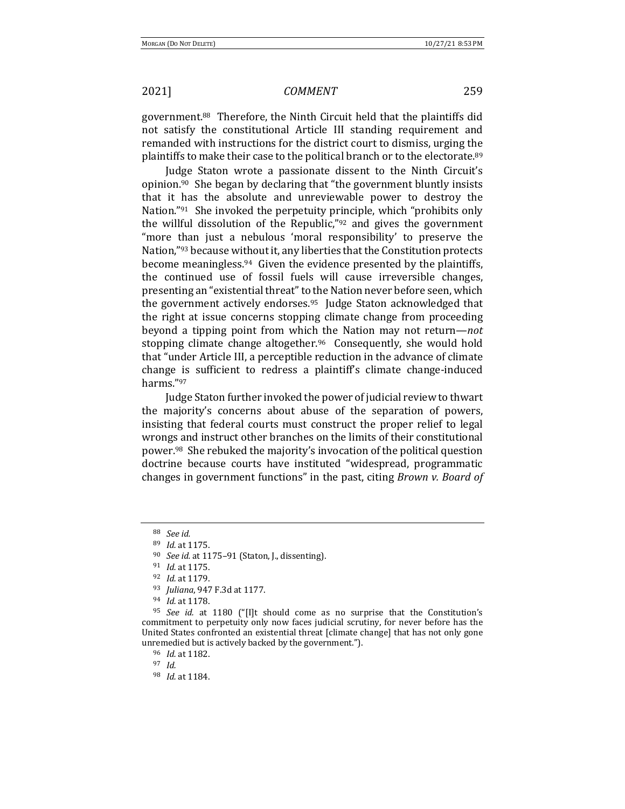government.<sup>88</sup> Therefore, the Ninth Circuit held that the plaintiffs did not satisfy the constitutional Article III standing requirement and remanded with instructions for the district court to dismiss, urging the plaintiffs to make their case to the political branch or to the electorate.<sup>89</sup>

Judge Staton wrote a passionate dissent to the Ninth Circuit's opinion.<sup>90</sup> She began by declaring that "the government bluntly insists that it has the absolute and unreviewable power to destroy the Nation."<sup>91</sup> She invoked the perpetuity principle, which "prohibits only the willful dissolution of the Republic," $92$  and gives the government "more than just a nebulous 'moral responsibility' to preserve the Nation,"93 because without it, any liberties that the Constitution protects become meaningless.<sup>94</sup> Given the evidence presented by the plaintiffs, the continued use of fossil fuels will cause irreversible changes, presenting an "existential threat" to the Nation never before seen, which the government actively endorses.<sup>95</sup> Judge Staton acknowledged that the right at issue concerns stopping climate change from proceeding beyond a tipping point from which the Nation may not return—*not* stopping climate change altogether.<sup>96</sup> Consequently, she would hold that "under Article III, a perceptible reduction in the advance of climate change is sufficient to redress a plaintiff's climate change-induced harms."97

Judge Staton further invoked the power of judicial review to thwart the majority's concerns about abuse of the separation of powers, insisting that federal courts must construct the proper relief to legal wrongs and instruct other branches on the limits of their constitutional power.<sup>98</sup> She rebuked the majority's invocation of the political question doctrine because courts have instituted "widespread, programmatic changes in government functions" in the past, citing *Brown v. Board of* 

96 *Id.* at 1182.

<sup>97</sup> *Id.*

<sup>88</sup> *See id.*

<sup>89</sup> *Id.* at 1175.

<sup>&</sup>lt;sup>90</sup> *See id.* at 1175-91 (Staton, J., dissenting).

<sup>91</sup> *Id.* at 1175.

<sup>92</sup> *Id.* at 1179.

<sup>93</sup> *Juliana*, 947 F.3d at 1177.

<sup>94</sup> *Id.* at 1178.

<sup>&</sup>lt;sup>95</sup> *See id.* at 1180 ("[I]t should come as no surprise that the Constitution's commitment to perpetuity only now faces judicial scrutiny, for never before has the United States confronted an existential threat [climate change] that has not only gone unremedied but is actively backed by the government.").

<sup>98</sup> *Id.* at 1184.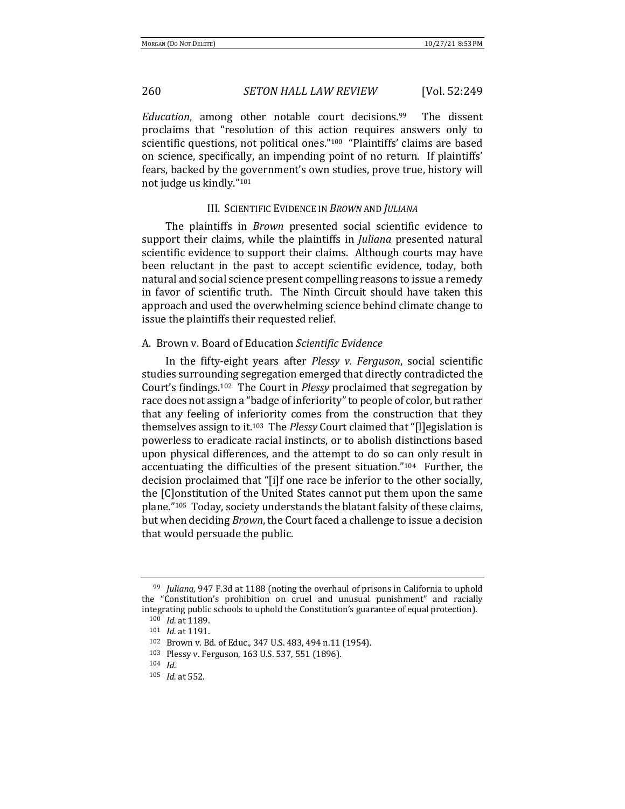*Education*, among other notable court decisions.<sup>99</sup> The dissent proclaims that "resolution of this action requires answers only to scientific questions, not political ones."<sup>100</sup> "Plaintiffs' claims are based on science, specifically, an impending point of no return. If plaintiffs' fears, backed by the government's own studies, prove true, history will not judge us kindly."<sup>101</sup>

### III. SCIENTIFIC EVIDENCE IN *BROWN* AND *JULIANA*

The plaintiffs in *Brown* presented social scientific evidence to support their claims, while the plaintiffs in *Juliana* presented natural scientific evidence to support their claims. Although courts may have been reluctant in the past to accept scientific evidence, today, both natural and social science present compelling reasons to issue a remedy in favor of scientific truth. The Ninth Circuit should have taken this approach and used the overwhelming science behind climate change to issue the plaintiffs their requested relief.

### A.Brown v. Board of Education *Scientific Evidence*

In the fifty-eight years after *Plessy v. Ferguson*, social scientific studies surrounding segregation emerged that directly contradicted the Court's findings.<sup>102</sup> The Court in *Plessy* proclaimed that segregation by race does not assign a "badge of inferiority" to people of color, but rather that any feeling of inferiority comes from the construction that they themselves assign to it.<sup>103</sup> The *Plessy* Court claimed that "[l]egislation is powerless to eradicate racial instincts, or to abolish distinctions based upon physical differences, and the attempt to do so can only result in accentuating the difficulties of the present situation." $104$  Further, the decision proclaimed that "[i]f one race be inferior to the other socially, the [C]onstitution of the United States cannot put them upon the same plane."<sup>105</sup> Today, society understands the blatant falsity of these claims, but when deciding *Brown*, the Court faced a challenge to issue a decision that would persuade the public.

<sup>&</sup>lt;sup>99</sup> *Juliana*, 947 F.3d at 1188 (noting the overhaul of prisons in California to uphold the "Constitution's prohibition on cruel and unusual punishment" and racially integrating public schools to uphold the Constitution's guarantee of equal protection).

<sup>100</sup> *Id.* at 1189.

<sup>101</sup> *Id.* at 1191.

<sup>102</sup> Brown v. Bd. of Educ., 347 U.S. 483, 494 n.11 (1954).

<sup>103</sup> Plessy v. Ferguson, 163 U.S. 537, 551 (1896).

<sup>104</sup> *Id.*

<sup>105</sup> *Id.* at 552.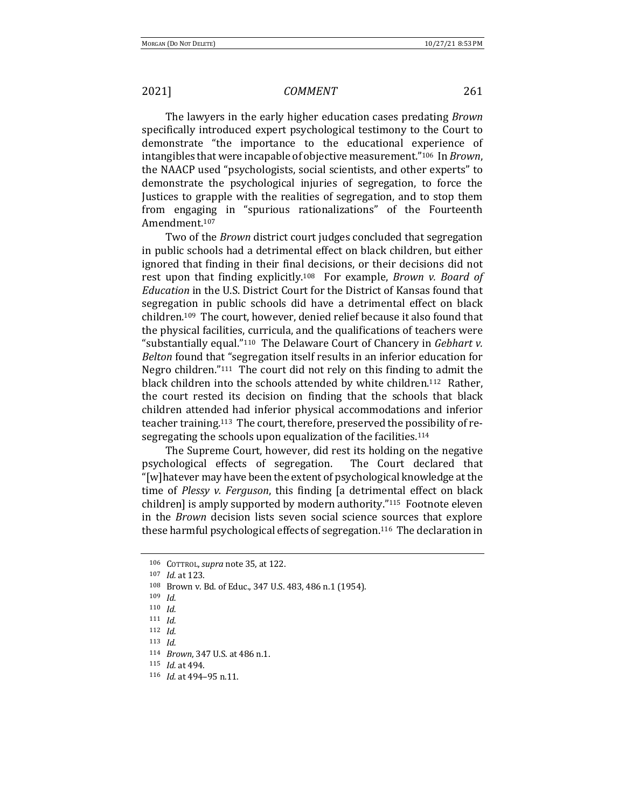The lawyers in the early higher education cases predating *Brown* specifically introduced expert psychological testimony to the Court to demonstrate "the importance to the educational experience of intangibles that were incapable of objective measurement."<sup>106</sup> In *Brown*, the NAACP used "psychologists, social scientists, and other experts" to demonstrate the psychological injuries of segregation, to force the Justices to grapple with the realities of segregation, and to stop them from engaging in "spurious rationalizations" of the Fourteenth Amendment.107

Two of the *Brown* district court judges concluded that segregation in public schools had a detrimental effect on black children, but either ignored that finding in their final decisions, or their decisions did not rest upon that finding explicitly.<sup>108</sup> For example, *Brown v. Board of Education* in the U.S. District Court for the District of Kansas found that segregation in public schools did have a detrimental effect on black children.<sup>109</sup> The court, however, denied relief because it also found that the physical facilities, curricula, and the qualifications of teachers were "substantially equal."<sup>110</sup> The Delaware Court of Chancery in *Gebhart v. Belton* found that "segregation itself results in an inferior education for Negro children." $111$  The court did not rely on this finding to admit the black children into the schools attended by white children.<sup>112</sup> Rather, the court rested its decision on finding that the schools that black children attended had inferior physical accommodations and inferior teacher training.<sup>113</sup> The court, therefore, preserved the possibility of resegregating the schools upon equalization of the facilities.<sup>114</sup>

The Supreme Court, however, did rest its holding on the negative psychological effects of segregation. The Court declared that " $[w]$ hatever may have been the extent of psychological knowledge at the time of *Plessy v. Ferguson*, this finding [a detrimental effect on black children] is amply supported by modern authority."<sup>115</sup> Footnote eleven in the *Brown* decision lists seven social science sources that explore these harmful psychological effects of segregation.<sup>116</sup> The declaration in

<sup>106</sup> COTTROL, *supra* note 35, at 122.

<sup>107</sup> *Id.* at 123.

<sup>108</sup> Brown v. Bd. of Educ., 347 U.S. 483, 486 n.1 (1954).

<sup>109</sup> *Id.*

<sup>110</sup> *Id.*

<sup>111</sup> *Id.*

<sup>112</sup> *Id.*

<sup>113</sup> *Id.*

<sup>114</sup> *Brown*, 347 U.S. at 486 n.1.

<sup>115</sup> *Id.* at 494.

<sup>116</sup> *Id.* at 494–95 n.11.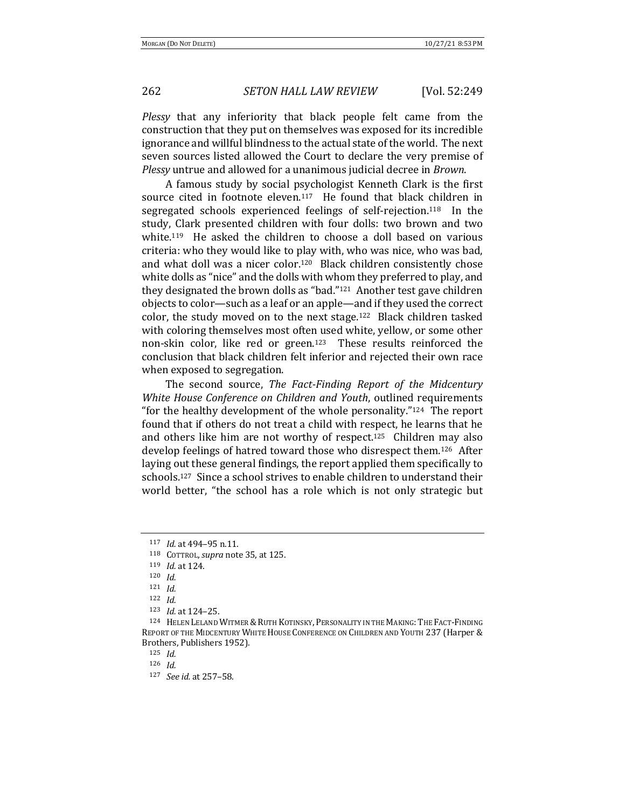*Plessy* that any inferiority that black people felt came from the construction that they put on themselves was exposed for its incredible ignorance and willful blindness to the actual state of the world. The next seven sources listed allowed the Court to declare the very premise of *Plessy* untrue and allowed for a unanimous judicial decree in *Brown*.

A famous study by social psychologist Kenneth Clark is the first source cited in footnote eleven.<sup>117</sup> He found that black children in segregated schools experienced feelings of self-rejection.<sup>118</sup> In the study, Clark presented children with four dolls: two brown and two white.<sup>119</sup> He asked the children to choose a doll based on various criteria: who they would like to play with, who was nice, who was bad, and what doll was a nicer color.<sup>120</sup> Black children consistently chose white dolls as "nice" and the dolls with whom they preferred to play, and they designated the brown dolls as "bad." $121$  Another test gave children objects to color—such as a leaf or an apple—and if they used the correct color, the study moved on to the next stage.<sup>122</sup> Black children tasked with coloring themselves most often used white, yellow, or some other non-skin color, like red or green.<sup>123</sup> These results reinforced the conclusion that black children felt inferior and rejected their own race when exposed to segregation.

The second source, *The Fact-Finding Report of the Midcentury White House Conference on Children and Youth*, outlined requirements "for the healthy development of the whole personality." $124$  The report found that if others do not treat a child with respect, he learns that he and others like him are not worthy of respect.<sup>125</sup> Children may also develop feelings of hatred toward those who disrespect them.<sup>126</sup> After laying out these general findings, the report applied them specifically to schools.<sup>127</sup> Since a school strives to enable children to understand their world better, "the school has a role which is not only strategic but

<sup>117</sup> *Id.* at 494-95 n.11.

<sup>118</sup> COTTROL, *supra* note 35, at 125.

<sup>119</sup> *Id.* at 124.

<sup>120</sup> *Id.*

<sup>121</sup> *Id.*

<sup>122</sup> *Id.*

<sup>123</sup> *Id.* at 124-25.

<sup>124</sup> HELEN LELAND WITMER & RUTH KOTINSKY, PERSONALITY IN THE MAKING: THE FACT-FINDING REPORT OF THE MIDCENTURY WHITE HOUSE CONFERENCE ON CHILDREN AND YOUTH 237 (Harper & Brothers, Publishers 1952).

<sup>125</sup> *Id.*

<sup>126</sup> *Id.*

<sup>127</sup> *See id.* at 257-58.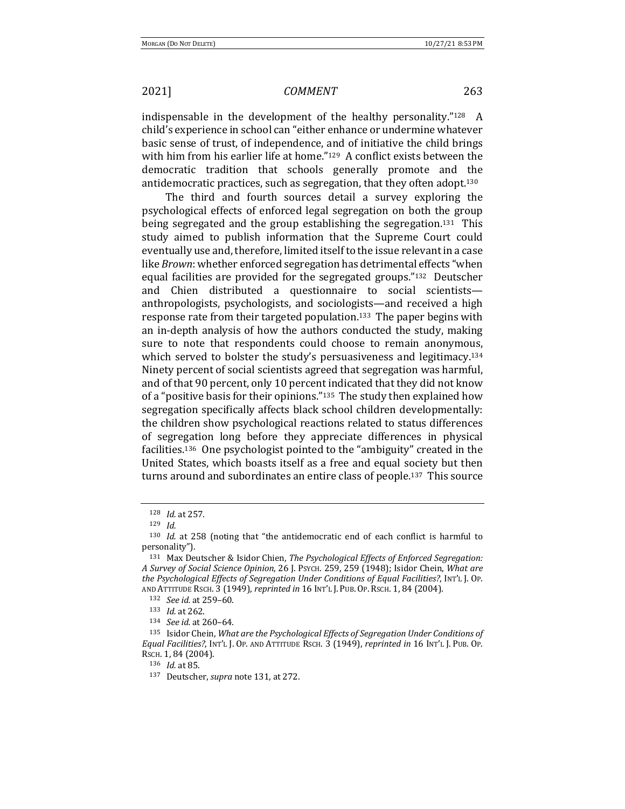indispensable in the development of the healthy personality." $128$  A child's experience in school can "either enhance or undermine whatever basic sense of trust, of independence, and of initiative the child brings with him from his earlier life at home." $129$  A conflict exists between the democratic tradition that schools generally promote and the antidemocratic practices, such as segregation, that they often adopt.<sup>130</sup>

The third and fourth sources detail a survey exploring the psychological effects of enforced legal segregation on both the group being segregated and the group establishing the segregation.<sup>131</sup> This study aimed to publish information that the Supreme Court could eventually use and, therefore, limited itself to the issue relevant in a case like *Brown*: whether enforced segregation has detrimental effects "when equal facilities are provided for the segregated groups."<sup>132</sup> Deutscher and Chien distributed a questionnaire to social scientistsanthropologists, psychologists, and sociologists—and received a high response rate from their targeted population.<sup>133</sup> The paper begins with an in-depth analysis of how the authors conducted the study, making sure to note that respondents could choose to remain anonymous, which served to bolster the study's persuasiveness and legitimacy.<sup>134</sup> Ninety percent of social scientists agreed that segregation was harmful, and of that 90 percent, only 10 percent indicated that they did not know of a "positive basis for their opinions."<sup>135</sup> The study then explained how segregation specifically affects black school children developmentally: the children show psychological reactions related to status differences of segregation long before they appreciate differences in physical facilities.<sup>136</sup> One psychologist pointed to the "ambiguity" created in the United States, which boasts itself as a free and equal society but then turns around and subordinates an entire class of people.<sup>137</sup> This source

<sup>128</sup> *Id.* at 257.

<sup>129</sup> *Id.*

<sup>&</sup>lt;sup>130</sup> *Id.* at 258 (noting that "the antidemocratic end of each conflict is harmful to personality").

<sup>&</sup>lt;sup>131</sup> Max Deutscher & Isidor Chien, *The Psychological Effects of Enforced Segregation: A Survey of Social Science Opinion*, 26 J. PSYCH. 259, 259 (1948); Isidor Chein, *What are the Psychological Effects of Segregation Under Conditions of Equal Facilities?*, INT'L J. OP. AND ATTITUDE RSCH. 3 (1949), *reprinted in* 16 INT'L J. PUB. OP. RSCH. 1, 84 (2004).

<sup>132</sup> *See id.* at 259-60.

<sup>133</sup> *Id.* at 262.

<sup>134</sup> *See id.* at 260-64.

<sup>135</sup> Isidor Chein, *What are the Psychological Effects of Segregation Under Conditions of Equal Facilities?*, INT'L J. OP. AND ATTITUDE RSCH. 3 (1949), *reprinted in* 16 INT'L J. PUB. OP. RSCH. 1, 84 (2004).

<sup>136</sup> *Id.* at 85.

<sup>137</sup> Deutscher, *supra* note 131, at 272.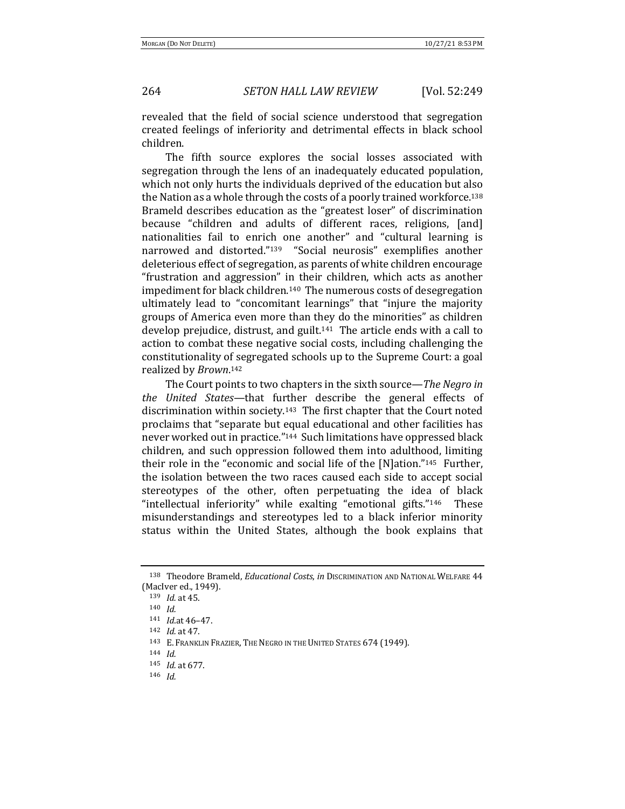revealed that the field of social science understood that segregation created feelings of inferiority and detrimental effects in black school children.

The fifth source explores the social losses associated with segregation through the lens of an inadequately educated population, which not only hurts the individuals deprived of the education but also the Nation as a whole through the costs of a poorly trained workforce.<sup>138</sup> Brameld describes education as the "greatest loser" of discrimination because "children and adults of different races, religions, [and] nationalities fail to enrich one another" and "cultural learning is narrowed and distorted."<sup>139</sup> "Social neurosis" exemplifies another deleterious effect of segregation, as parents of white children encourage "frustration and aggression" in their children, which acts as another impediment for black children.<sup>140</sup> The numerous costs of desegregation ultimately lead to "concomitant learnings" that "injure the majority groups of America even more than they do the minorities" as children develop prejudice, distrust, and guilt.<sup>141</sup> The article ends with a call to action to combat these negative social costs, including challenging the constitutionality of segregated schools up to the Supreme Court: a goal realized by *Brown*.<sup>142</sup>

The Court points to two chapters in the sixth source—*The Negro in the* United States—that further describe the general effects of discrimination within society.<sup>143</sup> The first chapter that the Court noted proclaims that "separate but equal educational and other facilities has never worked out in practice."<sup>144</sup> Such limitations have oppressed black children, and such oppression followed them into adulthood, limiting their role in the "economic and social life of the  $[N]$ ation."<sup>145</sup> Further, the isolation between the two races caused each side to accept social stereotypes of the other, often perpetuating the idea of black "intellectual inferiority" while exalting "emotional gifts."<sup>146</sup> These misunderstandings and stereotypes led to a black inferior minority status within the United States, although the book explains that

<sup>138</sup> Theodore Brameld, *Educational Costs*, in DISCRIMINATION AND NATIONAL WELFARE 44 (MacIver ed., 1949).

<sup>139</sup> *Id.* at 45.

<sup>140</sup> *Id.*

<sup>141</sup> *Id*.at 46–47.

<sup>142</sup> *Id.* at 47.

<sup>143</sup> E. FRANKLIN FRAZIER, THE NEGRO IN THE UNITED STATES 674 (1949).

<sup>144</sup> *Id.*

<sup>145</sup> *Id.* at 677.

<sup>146</sup> *Id.*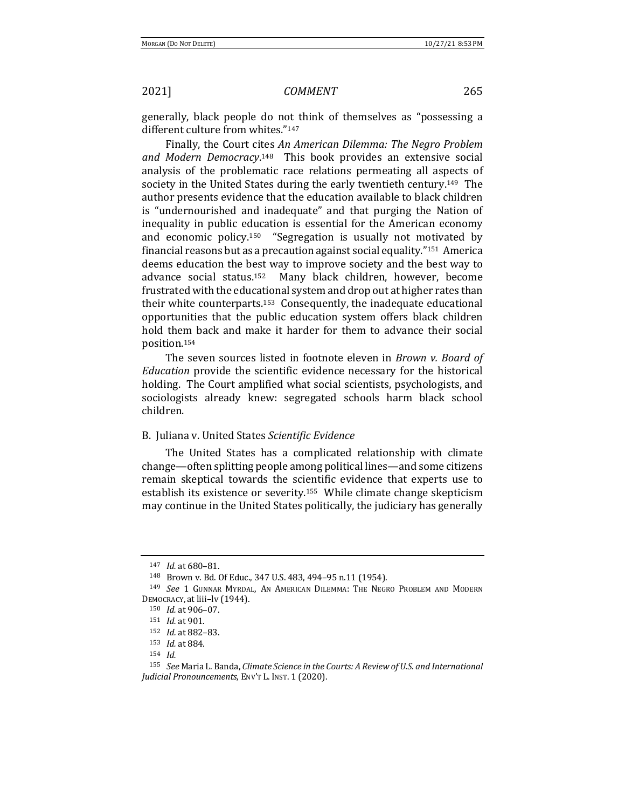generally, black people do not think of themselves as "possessing a different culture from whites."147

Finally, the Court cites An American Dilemma: The Negro Problem and Modern Democracy.<sup>148</sup> This book provides an extensive social analysis of the problematic race relations permeating all aspects of society in the United States during the early twentieth century.<sup>149</sup> The author presents evidence that the education available to black children is "undernourished and inadequate" and that purging the Nation of inequality in public education is essential for the American economy and economic policy.<sup>150</sup> "Segregation is usually not motivated by financial reasons but as a precaution against social equality."<sup>151</sup> America deems education the best way to improve society and the best way to advance social status.<sup>152</sup> Many black children, however, become frustrated with the educational system and drop out at higher rates than their white counterparts.<sup>153</sup> Consequently, the inadequate educational opportunities that the public education system offers black children hold them back and make it harder for them to advance their social position.154

The seven sources listed in footnote eleven in *Brown v. Board of Education* provide the scientific evidence necessary for the historical holding. The Court amplified what social scientists, psychologists, and sociologists already knew: segregated schools harm black school children.

### B.Juliana v. United States *Scientific Evidence*

The United States has a complicated relationship with climate change—often splitting people among political lines—and some citizens remain skeptical towards the scientific evidence that experts use to establish its existence or severity.<sup>155</sup> While climate change skepticism may continue in the United States politically, the judiciary has generally

<sup>147</sup> *Id.* at 680-81.

<sup>148</sup> Brown v. Bd. Of Educ., 347 U.S. 483, 494-95 n.11 (1954).

<sup>&</sup>lt;sup>149</sup> See 1 GUNNAR MYRDAL, AN AMERICAN DILEMMA: THE NEGRO PROBLEM AND MODERN DEMOCRACY, at liii–lv (1944).

 $150$  *Id.* at  $906-07$ .

<sup>151</sup> *Id.* at 901.

<sup>152</sup> *Id.* at 882-83.

<sup>153</sup> *Id.* at 884.

<sup>154</sup> *Id.*

<sup>155</sup> *See* Maria L. Banda, *Climate Science in the Courts: A Review of U.S. and International Judicial Pronouncements*, ENV'T L. INST. 1 (2020).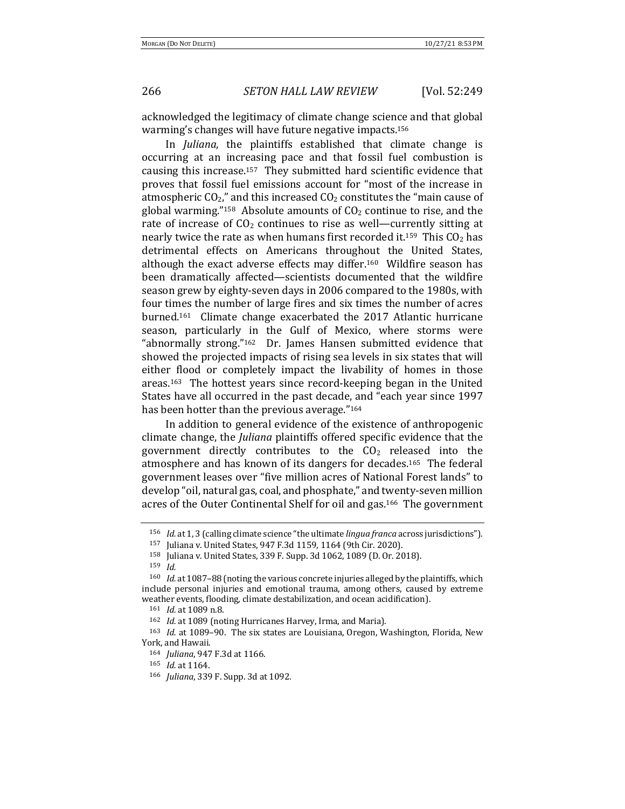acknowledged the legitimacy of climate change science and that global warming's changes will have future negative impacts.<sup>156</sup>

In *Juliana*, the plaintiffs established that climate change is occurring at an increasing pace and that fossil fuel combustion is causing this increase.<sup>157</sup> They submitted hard scientific evidence that proves that fossil fuel emissions account for "most of the increase in atmospheric  $CO_2$ ," and this increased  $CO_2$  constitutes the "main cause of global warming."<sup>158</sup> Absolute amounts of  $CO<sub>2</sub>$  continue to rise, and the rate of increase of  $CO<sub>2</sub>$  continues to rise as well—currently sitting at nearly twice the rate as when humans first recorded it.<sup>159</sup> This  $CO<sub>2</sub>$  has detrimental effects on Americans throughout the United States, although the exact adverse effects may differ.<sup>160</sup> Wildfire season has been dramatically affected—scientists documented that the wildfire season grew by eighty-seven days in 2006 compared to the 1980s, with four times the number of large fires and six times the number of acres burned.<sup>161</sup> Climate change exacerbated the  $2017$  Atlantic hurricane season, particularly in the Gulf of Mexico, where storms were "abnormally strong." $162$  Dr. James Hansen submitted evidence that showed the projected impacts of rising sea levels in six states that will either flood or completely impact the livability of homes in those areas.<sup>163</sup> The hottest years since record-keeping began in the United States have all occurred in the past decade, and "each year since 1997 has been hotter than the previous average."<sup>164</sup>

In addition to general evidence of the existence of anthropogenic climate change, the *Juliana* plaintiffs offered specific evidence that the government directly contributes to the  $CO<sub>2</sub>$  released into the atmosphere and has known of its dangers for decades.<sup>165</sup> The federal government leases over "five million acres of National Forest lands" to develop "oil, natural gas, coal, and phosphate," and twenty-seven million acres of the Outer Continental Shelf for oil and gas.<sup>166</sup> The government

<sup>156</sup> *Id.* at 1, 3 (calling climate science "the ultimate *lingua franca* across jurisdictions").

<sup>157</sup> Juliana v. United States, 947 F.3d 1159, 1164 (9th Cir. 2020).

<sup>&</sup>lt;sup>158</sup> Juliana v. United States, 339 F. Supp. 3d 1062, 1089 (D. Or. 2018).<br><sup>159</sup> Id

*Id.* 

<sup>&</sup>lt;sup>160</sup> *Id.* at 1087-88 (noting the various concrete injuries alleged by the plaintiffs, which include personal injuries and emotional trauma, among others, caused by extreme weather events, flooding, climate destabilization, and ocean acidification).

<sup>161</sup> *Id.* at 1089 n.8.

<sup>&</sup>lt;sup>162</sup> *Id.* at 1089 (noting Hurricanes Harvey, Irma, and Maria).

<sup>&</sup>lt;sup>163</sup> *Id.* at 1089-90. The six states are Louisiana, Oregon, Washington, Florida, New York, and Hawaii.

<sup>164</sup> *Juliana*, 947 F.3d at 1166.

<sup>165</sup> *Id.* at 1164.

<sup>166</sup> *Juliana*, 339 F. Supp. 3d at 1092.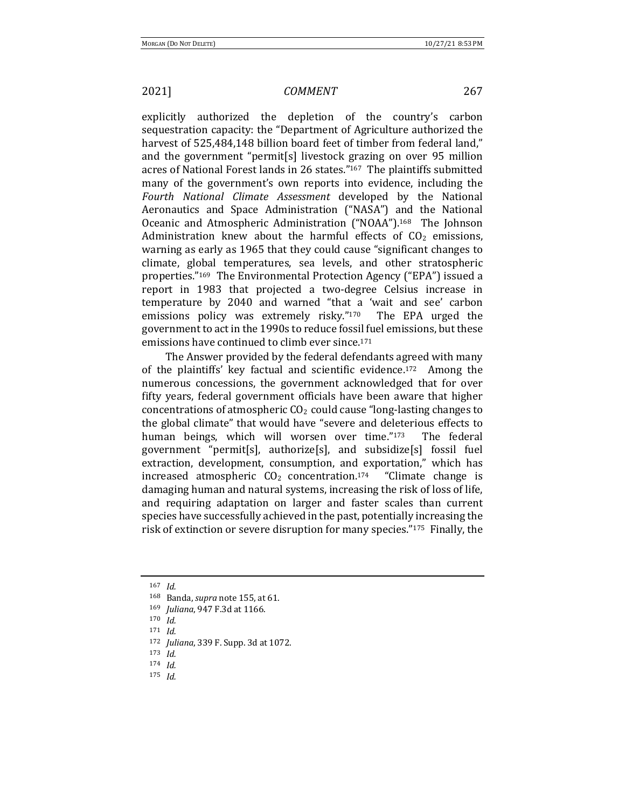explicitly authorized the depletion of the country's carbon sequestration capacity: the "Department of Agriculture authorized the harvest of 525,484,148 billion board feet of timber from federal land," and the government "permit[s] livestock grazing on over 95 million acres of National Forest lands in 26 states."<sup>167</sup> The plaintiffs submitted many of the government's own reports into evidence, including the *Fourth National Climate Assessment* developed by the National Aeronautics and Space Administration ("NASA") and the National Oceanic and Atmospheric Administration ("NOAA").<sup>168</sup> The Johnson Administration knew about the harmful effects of  $CO<sub>2</sub>$  emissions, warning as early as 1965 that they could cause "significant changes to climate, global temperatures, sea levels, and other stratospheric properties."<sup>169</sup> The Environmental Protection Agency ("EPA") issued a report in 1983 that projected a two-degree Celsius increase in temperature by 2040 and warned "that a 'wait and see' carbon emissions policy was extremely risky." $170$  The EPA urged the government to act in the 1990s to reduce fossil fuel emissions, but these emissions have continued to climb ever since.<sup>171</sup>

The Answer provided by the federal defendants agreed with many of the plaintiffs' key factual and scientific evidence.<sup>172</sup> Among the numerous concessions, the government acknowledged that for over fifty years, federal government officials have been aware that higher concentrations of atmospheric  $CO<sub>2</sub>$  could cause "long-lasting changes to the global climate" that would have "severe and deleterious effects to human beings, which will worsen over time."173 The federal government "permit[s], authorize[s], and subsidize[s] fossil fuel extraction, development, consumption, and exportation," which has increased atmospheric  $CO<sub>2</sub>$  concentration.<sup>174</sup> "Climate change is damaging human and natural systems, increasing the risk of loss of life, and requiring adaptation on larger and faster scales than current species have successfully achieved in the past, potentially increasing the risk of extinction or severe disruption for many species." $175$  Finally, the

<sup>173</sup> *Id.*

<sup>167</sup> *Id.*

<sup>168</sup> Banda, *supra* note 155, at 61.

<sup>169</sup> *Juliana*, 947 F.3d at 1166.

<sup>170</sup> *Id.*

<sup>171</sup> *Id.*

<sup>172</sup> *Juliana*, 339 F. Supp. 3d at 1072.

<sup>174</sup> *Id.*

<sup>175</sup> *Id.*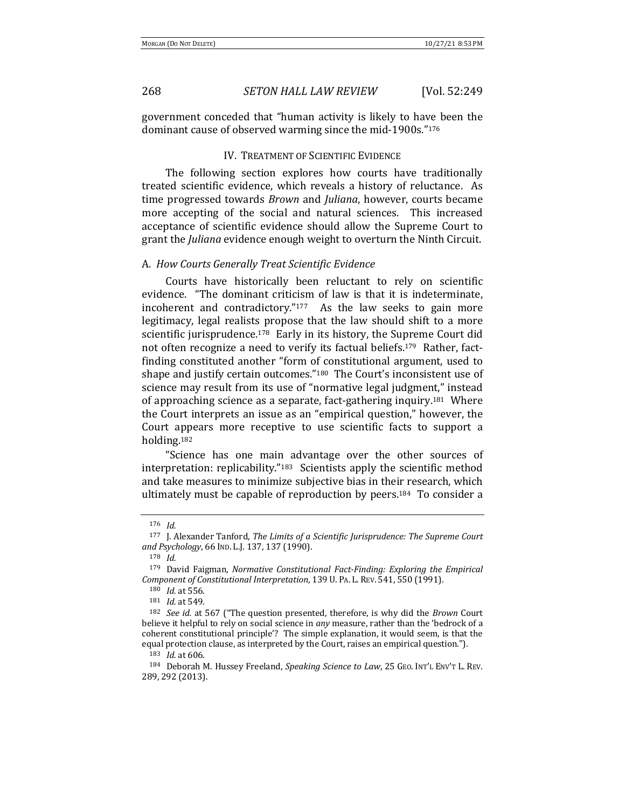government conceded that "human activity is likely to have been the dominant cause of observed warming since the mid-1900s."<sup>176</sup>

### IV. TREATMENT OF SCIENTIFIC EVIDENCE

The following section explores how courts have traditionally treated scientific evidence, which reveals a history of reluctance. As time progressed towards *Brown* and *Juliana*, however, courts became more accepting of the social and natural sciences. This increased acceptance of scientific evidence should allow the Supreme Court to grant the *Juliana* evidence enough weight to overturn the Ninth Circuit.

### A. *How Courts Generally Treat Scientific Evidence*

Courts have historically been reluctant to rely on scientific evidence. "The dominant criticism of law is that it is indeterminate, incoherent and contradictory." $177$  As the law seeks to gain more legitimacy, legal realists propose that the law should shift to a more scientific jurisprudence.<sup>178</sup> Early in its history, the Supreme Court did not often recognize a need to verify its factual beliefs.<sup>179</sup> Rather, factfinding constituted another "form of constitutional argument, used to shape and justify certain outcomes."<sup>180</sup> The Court's inconsistent use of science may result from its use of "normative legal judgment," instead of approaching science as a separate, fact-gathering inquiry.<sup>181</sup> Where the Court interprets an issue as an "empirical question," however, the Court appears more receptive to use scientific facts to support a holding.182

"Science has one main advantage over the other sources of interpretation: replicability." $183$  Scientists apply the scientific method and take measures to minimize subjective bias in their research, which ultimately must be capable of reproduction by peers.<sup>184</sup> To consider a

<sup>176</sup> *Id.*

<sup>&</sup>lt;sup>177</sup> J. Alexander Tanford, *The Limits of a Scientific Jurisprudence: The Supreme Court* and Psychology, 66 IND. L.J. 137, 137 (1990).

<sup>178</sup> *Id.*

<sup>&</sup>lt;sup>179</sup> David Faigman, *Normative Constitutional Fact-Finding: Exploring the Empirical Component of Constitutional Interpretation,* 139 U. PA. L. REV. 541, 550 (1991).

<sup>180</sup> *Id.* at 556.

<sup>181</sup> *Id.* at 549.

<sup>&</sup>lt;sup>182</sup> *See id.* at 567 ("The question presented, therefore, is why did the *Brown* Court believe it helpful to rely on social science in *any* measure, rather than the 'bedrock of a coherent constitutional principle'? The simple explanation, it would seem, is that the equal protection clause, as interpreted by the Court, raises an empirical question.").

<sup>183</sup> *Id.* at 606.

<sup>184</sup> Deborah M. Hussey Freeland, *Speaking Science to Law*, 25 GEO. INT'L ENV'T L. REV. 289, 292 (2013).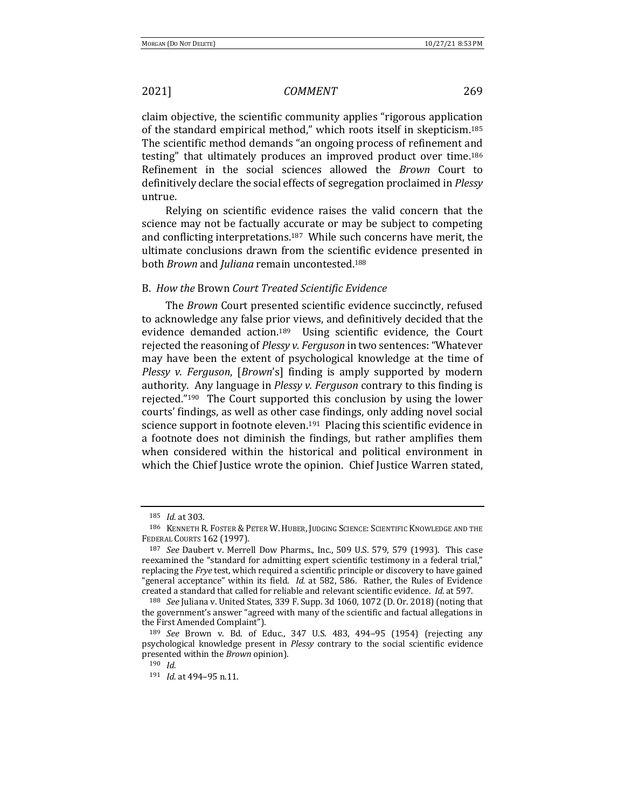claim objective, the scientific community applies "rigorous application of the standard empirical method," which roots itself in skepticism.<sup>185</sup> The scientific method demands "an ongoing process of refinement and testing" that ultimately produces an improved product over time.<sup>186</sup> Refinement in the social sciences allowed the *Brown* Court to definitively declare the social effects of segregation proclaimed in *Plessy* untrue. 

Relying on scientific evidence raises the valid concern that the science may not be factually accurate or may be subject to competing and conflicting interpretations.<sup>187</sup> While such concerns have merit, the ultimate conclusions drawn from the scientific evidence presented in both *Brown* and *Juliana* remain uncontested.<sup>188</sup>

### B. *How the* Brown *Court Treated Scientific Evidence*

The *Brown* Court presented scientific evidence succinctly, refused to acknowledge any false prior views, and definitively decided that the evidence demanded action.<sup>189</sup> Using scientific evidence, the Court rejected the reasoning of *Plessy v. Ferguson* in two sentences: "Whatever may have been the extent of psychological knowledge at the time of *Plessy v. Ferguson,* [*Brown*'s] finding is amply supported by modern authority. Any language in *Plessy v. Ferguson* contrary to this finding is rejected." $190$  The Court supported this conclusion by using the lower courts' findings, as well as other case findings, only adding novel social science support in footnote eleven.<sup>191</sup> Placing this scientific evidence in a footnote does not diminish the findings, but rather amplifies them when considered within the historical and political environment in which the Chief Justice wrote the opinion. Chief Justice Warren stated,

<sup>185</sup> *Id.* at 303.

<sup>186</sup> KENNETH R. FOSTER & PETER W. HUBER, JUDGING SCIENCE: SCIENTIFIC KNOWLEDGE AND THE FEDERAL COURTS 162 (1997).

<sup>&</sup>lt;sup>187</sup> *See* Daubert v. Merrell Dow Pharms., Inc., 509 U.S. 579, 579 (1993). This case reexamined the "standard for admitting expert scientific testimony in a federal trial," replacing the *Frye* test, which required a scientific principle or discovery to have gained "general acceptance" within its field. *Id.* at 582, 586. Rather, the Rules of Evidence created a standard that called for reliable and relevant scientific evidence. *Id.* at 597.

<sup>&</sup>lt;sup>188</sup> *See* Juliana v. United States, 339 F. Supp. 3d 1060, 1072 (D. Or. 2018) (noting that the government's answer "agreed with many of the scientific and factual allegations in the First Amended Complaint").

<sup>189</sup> *See* Brown v. Bd. of Educ., 347 U.S. 483, 494–95 (1954) (rejecting any psychological knowledge present in *Plessy* contrary to the social scientific evidence presented within the *Brown* opinion).

<sup>190</sup> *Id.*

<sup>191</sup> *Id.* at 494-95 n.11.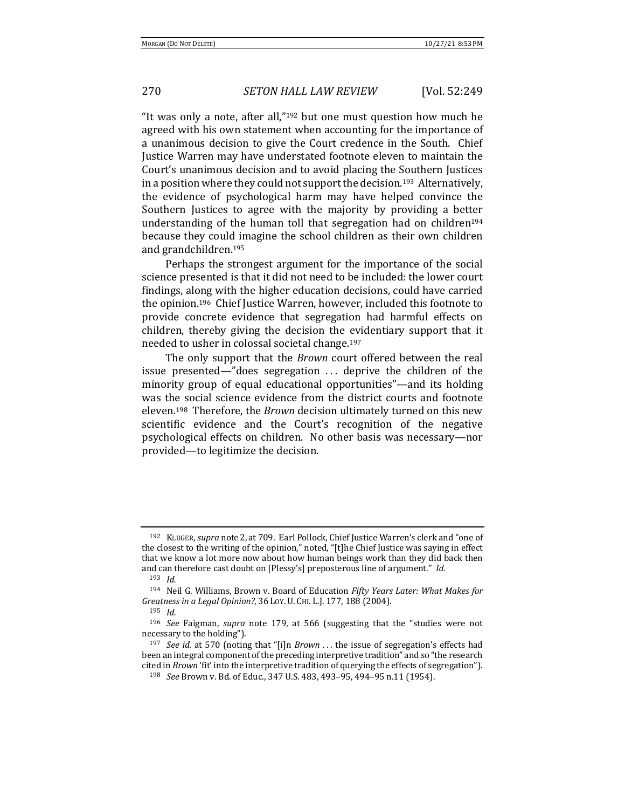"It was only a note, after all," $192$  but one must question how much he agreed with his own statement when accounting for the importance of a unanimous decision to give the Court credence in the South. Chief Justice Warren may have understated footnote eleven to maintain the Court's unanimous decision and to avoid placing the Southern Justices in a position where they could not support the decision.<sup>193</sup> Alternatively, the evidence of psychological harm may have helped convince the Southern Justices to agree with the majority by providing a better understanding of the human toll that segregation had on children<sup>194</sup> because they could imagine the school children as their own children and grandchildren.<sup>195</sup>

Perhaps the strongest argument for the importance of the social science presented is that it did not need to be included: the lower court findings, along with the higher education decisions, could have carried the opinion.<sup>196</sup> Chief Justice Warren, however, included this footnote to provide concrete evidence that segregation had harmful effects on children, thereby giving the decision the evidentiary support that it needed to usher in colossal societal change.<sup>197</sup>

The only support that the *Brown* court offered between the real issue presented—"does segregation  $\ldots$  deprive the children of the minority group of equal educational opportunities"—and its holding was the social science evidence from the district courts and footnote eleven.<sup>198</sup> Therefore, the *Brown* decision ultimately turned on this new scientific evidence and the Court's recognition of the negative psychological effects on children. No other basis was necessary-nor provided—to legitimize the decision.

<sup>192</sup> KLUGER, *supra* note 2, at 709. Earl Pollock, Chief Justice Warren's clerk and "one of the closest to the writing of the opinion," noted, "[t]he Chief Justice was saying in effect that we know a lot more now about how human beings work than they did back then and can therefore cast doubt on [Plessy's] preposterous line of argument." *Id.* 

<sup>193</sup> *Id.*

<sup>194</sup> Neil G. Williams, Brown v. Board of Education *Fifty Years Later: What Makes for* Greatness in a Legal Opinion?, 36 Loy. U. CHI. L.J. 177, 188 (2004).

<sup>195</sup> *Id.*

<sup>&</sup>lt;sup>196</sup> *See* Faigman, *supra* note 179, at 566 (suggesting that the "studies were not necessary to the holding").

<sup>&</sup>lt;sup>197</sup> *See id.* at 570 (noting that "[i]n *Brown* ... the issue of segregation's effects had been an integral component of the preceding interpretive tradition" and so "the research cited in *Brown* 'fit' into the interpretive tradition of querying the effects of segregation").

<sup>198</sup> *See* Brown v. Bd. of Educ., 347 U.S. 483, 493-95, 494-95 n.11 (1954).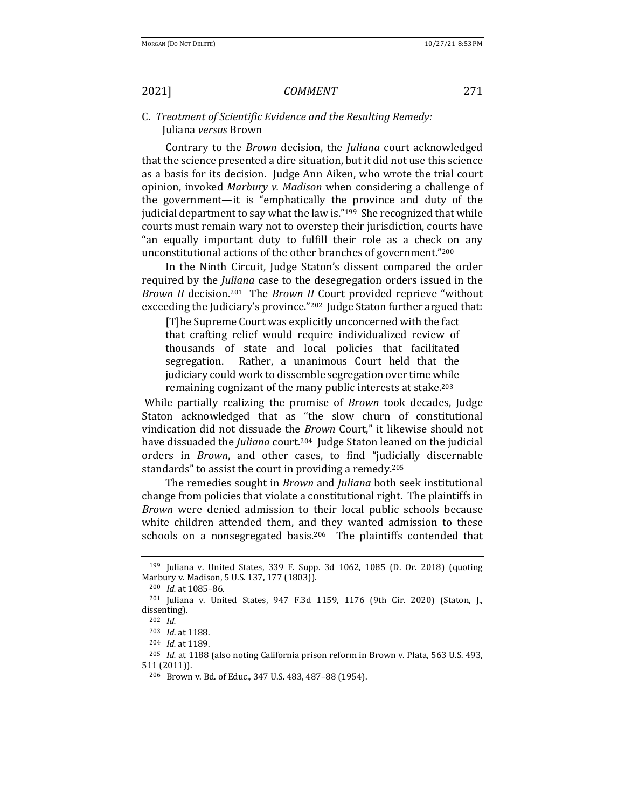## C. *Treatment of Scientific Evidence and the Resulting Remedy:*  Juliana *versus* Brown

Contrary to the *Brown* decision, the *Juliana* court acknowledged that the science presented a dire situation, but it did not use this science as a basis for its decision. Judge Ann Aiken, who wrote the trial court opinion, invoked *Marbury v. Madison* when considering a challenge of the government—it is "emphatically the province and duty of the judicial department to say what the law is."<sup>199</sup> She recognized that while courts must remain wary not to overstep their jurisdiction, courts have "an equally important duty to fulfill their role as a check on any unconstitutional actions of the other branches of government."<sup>200</sup>

In the Ninth Circuit, Judge Staton's dissent compared the order required by the *Juliana* case to the desegregation orders issued in the *Brown II* decision.<sup>201</sup> The *Brown II* Court provided reprieve "without exceeding the Judiciary's province."<sup>202</sup> Judge Staton further argued that:

[T]he Supreme Court was explicitly unconcerned with the fact that crafting relief would require individualized review of thousands of state and local policies that facilitated segregation. Rather, a unanimous Court held that the judiciary could work to dissemble segregation over time while remaining cognizant of the many public interests at stake.<sup>203</sup>

While partially realizing the promise of *Brown* took decades, Judge Staton acknowledged that as "the slow churn of constitutional vindication did not dissuade the *Brown* Court," it likewise should not have dissuaded the *Juliana* court.<sup>204</sup> Judge Staton leaned on the judicial orders in *Brown*, and other cases, to find "judicially discernable standards" to assist the court in providing a remedy.<sup>205</sup>

The remedies sought in *Brown* and *Juliana* both seek institutional change from policies that violate a constitutional right. The plaintiffs in *Brown* were denied admission to their local public schools because white children attended them, and they wanted admission to these schools on a nonsegregated basis.<sup>206</sup> The plaintiffs contended that

 $199$  Juliana v. United States, 339 F. Supp. 3d 1062, 1085 (D. Or. 2018) (quoting Marbury v. Madison, 5 U.S. 137, 177 (1803)).

<sup>&</sup>lt;sup>200</sup> *Id.* at 1085-86.

<sup>&</sup>lt;sup>201</sup> Juliana v. United States, 947 F.3d 1159, 1176 (9th Cir. 2020) (Staton, J., dissenting).

<sup>202</sup> *Id.*

<sup>&</sup>lt;sup>203</sup> *Id.* at 1188.

<sup>204</sup> *Id.* at 1189.

<sup>&</sup>lt;sup>205</sup> *Id.* at 1188 (also noting California prison reform in Brown v. Plata, 563 U.S. 493, 511 (2011)).

<sup>206</sup> Brown v. Bd. of Educ., 347 U.S. 483, 487-88 (1954).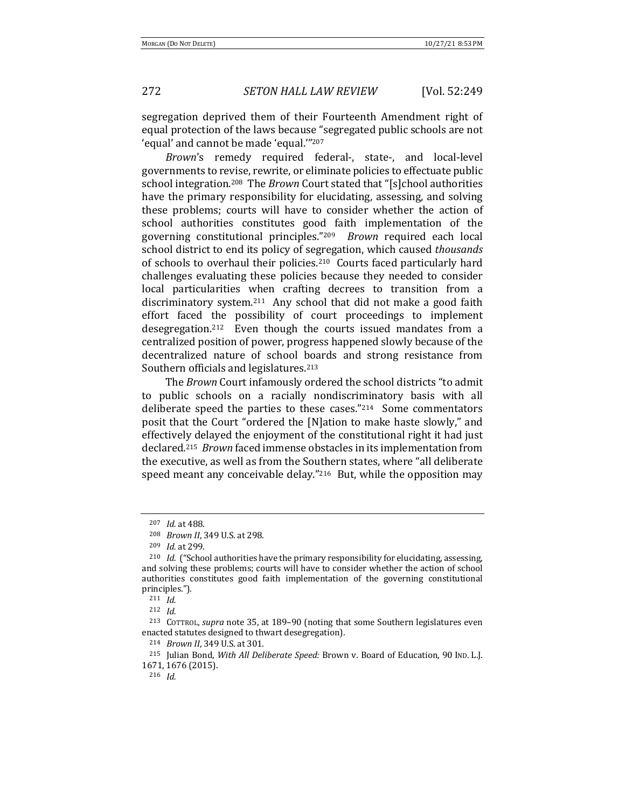272 *SETON HALL LAW REVIEW* [Vol. 52:249

segregation deprived them of their Fourteenth Amendment right of equal protection of the laws because "segregated public schools are not 'equal' and cannot be made 'equal."<sup>207</sup>

Brown's remedy required federal-, state-, and local-level governments to revise, rewrite, or eliminate policies to effectuate public school integration.<sup>208</sup> The *Brown* Court stated that "[s]chool authorities have the primary responsibility for elucidating, assessing, and solving these problems; courts will have to consider whether the action of school authorities constitutes good faith implementation of the governing constitutional principles."<sup>209</sup> *Brown* required each local school district to end its policy of segregation, which caused *thousands* of schools to overhaul their policies.<sup>210</sup> Courts faced particularly hard challenges evaluating these policies because they needed to consider local particularities when crafting decrees to transition from a discriminatory system.<sup>211</sup> Any school that did not make a good faith effort faced the possibility of court proceedings to implement desegregation.<sup>212</sup> Even though the courts issued mandates from a centralized position of power, progress happened slowly because of the decentralized nature of school boards and strong resistance from Southern officials and legislatures.<sup>213</sup>

The *Brown* Court infamously ordered the school districts "to admit to public schools on a racially nondiscriminatory basis with all deliberate speed the parties to these cases." $214$  Some commentators posit that the Court "ordered the [N]ation to make haste slowly," and effectively delayed the enjoyment of the constitutional right it had just declared.<sup>215</sup> *Brown* faced immense obstacles in its implementation from the executive, as well as from the Southern states, where "all deliberate speed meant any conceivable delay." $216$  But, while the opposition may

<sup>211</sup> *Id.*

<sup>216</sup> *Id.*

<sup>207</sup> *Id.* at 488.

<sup>208</sup> *Brown II*, 349 U.S. at 298.

<sup>209</sup> *Id.* at 299.

<sup>&</sup>lt;sup>210</sup> *Id.* ("School authorities have the primary responsibility for elucidating, assessing, and solving these problems; courts will have to consider whether the action of school authorities constitutes good faith implementation of the governing constitutional principles.").

<sup>212</sup> *Id.*

<sup>&</sup>lt;sup>213</sup> COTTROL, *supra* note 35, at 189-90 (noting that some Southern legislatures even enacted statutes designed to thwart desegregation).

<sup>214</sup> *Brown II*, 349 U.S. at 301.

<sup>&</sup>lt;sup>215</sup> Julian Bond, *With All Deliberate Speed:* Brown v. Board of Education, 90 IND. L.J. 1671, 1676 (2015).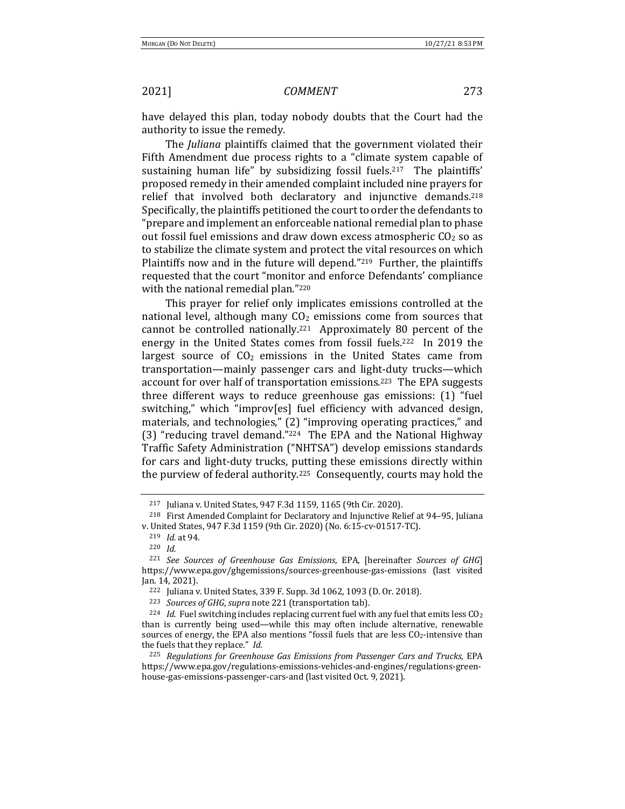have delayed this plan, today nobody doubts that the Court had the authority to issue the remedy.

The *Juliana* plaintiffs claimed that the government violated their Fifth Amendment due process rights to a "climate system capable of sustaining human life" by subsidizing fossil fuels.<sup>217</sup> The plaintiffs' proposed remedy in their amended complaint included nine prayers for relief that involved both declaratory and injunctive demands.<sup>218</sup> Specifically, the plaintiffs petitioned the court to order the defendants to "prepare and implement an enforceable national remedial plan to phase out fossil fuel emissions and draw down excess atmospheric  $CO<sub>2</sub>$  so as to stabilize the climate system and protect the vital resources on which Plaintiffs now and in the future will depend." $219$  Further, the plaintiffs requested that the court "monitor and enforce Defendants' compliance with the national remedial plan."220

This prayer for relief only implicates emissions controlled at the national level, although many  $CO<sub>2</sub>$  emissions come from sources that cannot be controlled nationally.<sup>221</sup> Approximately 80 percent of the energy in the United States comes from fossil fuels.<sup>222</sup> In 2019 the largest source of  $CO<sub>2</sub>$  emissions in the United States came from transportation—mainly passenger cars and light-duty trucks—which account for over half of transportation emissions.<sup>223</sup> The EPA suggests three different ways to reduce greenhouse gas emissions:  $(1)$  "fuel switching," which "improv[es] fuel efficiency with advanced design, materials, and technologies," (2) "improving operating practices," and (3) "reducing travel demand." $224$  The EPA and the National Highway Traffic Safety Administration ("NHTSA") develop emissions standards for cars and light-duty trucks, putting these emissions directly within the purview of federal authority.<sup>225</sup> Consequently, courts may hold the

<sup>&</sup>lt;sup>217</sup> Juliana v. United States, 947 F.3d 1159, 1165 (9th Cir. 2020).

<sup>&</sup>lt;sup>218</sup> First Amended Complaint for Declaratory and Injunctive Relief at 94-95, Juliana v. United States, 947 F.3d 1159 (9th Cir. 2020) (No. 6:15-cv-01517-TC).

<sup>219</sup> *Id.* at 94.

<sup>220</sup> *Id.*

<sup>&</sup>lt;sup>221</sup> *See Sources of Greenhouse Gas Emissions*, EPA, [hereinafter *Sources of GHG*] https://www.epa.gov/ghgemissions/sources-greenhouse-gas-emissions (last visited Jan. 14, 2021).

<sup>&</sup>lt;sup>222</sup> Juliana v. United States, 339 F. Supp. 3d 1062, 1093 (D. Or. 2018).

<sup>&</sup>lt;sup>223</sup> *Sources of GHG*, *supra* note 221 (transportation tab).

<sup>&</sup>lt;sup>224</sup> *Id.* Fuel switching includes replacing current fuel with any fuel that emits less CO<sub>2</sub> than is currently being used—while this may often include alternative, renewable sources of energy, the EPA also mentions "fossil fuels that are less CO2-intensive than the fuels that they replace." *Id.* 

<sup>&</sup>lt;sup>225</sup> Regulations for Greenhouse Gas Emissions from Passenger Cars and Trucks, EPA https://www.epa.gov/regulations-emissions-vehicles-and-engines/regulations-greenhouse-gas-emissions-passenger-cars-and (last visited Oct. 9, 2021).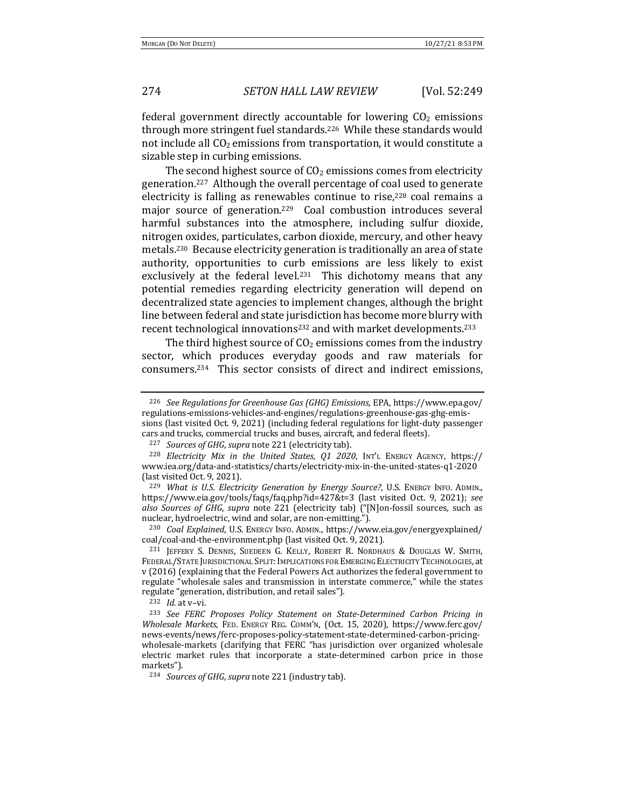## 274 *SETON HALL LAW REVIEW* [Vol. 52:249

federal government directly accountable for lowering  $CO<sub>2</sub>$  emissions through more stringent fuel standards.<sup>226</sup> While these standards would not include all  $CO<sub>2</sub>$  emissions from transportation, it would constitute a sizable step in curbing emissions.

The second highest source of  $CO<sub>2</sub>$  emissions comes from electricity generation.<sup>227</sup> Although the overall percentage of coal used to generate electricity is falling as renewables continue to rise, $228$  coal remains a major source of generation.<sup>229</sup> Coal combustion introduces several harmful substances into the atmosphere, including sulfur dioxide, nitrogen oxides, particulates, carbon dioxide, mercury, and other heavy metals.<sup>230</sup> Because electricity generation is traditionally an area of state authority, opportunities to curb emissions are less likely to exist exclusively at the federal level.<sup>231</sup> This dichotomy means that any potential remedies regarding electricity generation will depend on decentralized state agencies to implement changes, although the bright line between federal and state jurisdiction has become more blurry with recent technological innovations<sup>232</sup> and with market developments.<sup>233</sup>

The third highest source of  $CO<sub>2</sub>$  emissions comes from the industry sector, which produces everyday goods and raw materials for consumers. $234$  This sector consists of direct and indirect emissions,

<sup>230</sup> *Coal Explained*, U.S. ENERGY INFO. ADMIN., https://www.eia.gov/energyexplained/ coal/coal-and-the-environment.php (last visited Oct. 9, 2021).

<sup>&</sup>lt;sup>226</sup> *See Regulations for Greenhouse Gas (GHG) Emissions*, EPA, https://www.epa.gov/ regulations-emissions-vehicles-and-engines/regulations-greenhouse-gas-ghg-emissions (last visited Oct. 9, 2021) (including federal regulations for light-duty passenger

cars and trucks, commercial trucks and buses, aircraft, and federal fleets).

<sup>&</sup>lt;sup>227</sup> *Sources of GHG, supra* note 221 (electricity tab).

<sup>&</sup>lt;sup>228</sup> *Electricity Mix in the United States, Q1 2020*, INT'L ENERGY AGENCY, https:// www.iea.org/data-and-statistics/charts/electricity-mix-in-the-united-states-q1-2020 (last visited Oct. 9, 2021).

<sup>&</sup>lt;sup>229</sup> What is U.S. Electricity Generation by Energy Source?, U.S. ENERGY INFO. ADMIN., https://www.eia.gov/tools/faqs/faq.php?id=427&t=3 (last visited Oct. 9, 2021); *see also Sources of GHG*, *supra* note 221 (electricity tab) ("[N]on-fossil sources, such as nuclear, hydroelectric, wind and solar, are non-emitting.").

<sup>&</sup>lt;sup>231</sup> JEFFERY S. DENNIS, SUEDEEN G. KELLY, ROBERT R. NORDHAUS & DOUGLAS W. SMITH, FEDERAL/STATE JURISDICTIONAL SPLIT: IMPLICATIONS FOR EMERGING ELECTRICITY TECHNOLOGIES, at v (2016) (explaining that the Federal Powers Act authorizes the federal government to regulate "wholesale sales and transmission in interstate commerce," while the states regulate "generation, distribution, and retail sales").

 $232$  *Id.* at v-vi.

<sup>&</sup>lt;sup>233</sup> See FERC Proposes Policy Statement on State-Determined Carbon Pricing in *Wholesale Markets*, FED. ENERGY REG. COMM'N, (Oct. 15, 2020), https://www.ferc.gov/ news-events/news/ferc-proposes-policy-statement-state-determined-carbon-pricingwholesale-markets (clarifying that FERC "has jurisdiction over organized wholesale electric market rules that incorporate a state-determined carbon price in those markets").

<sup>&</sup>lt;sup>234</sup> *Sources of GHG*, *supra* note 221 (industry tab).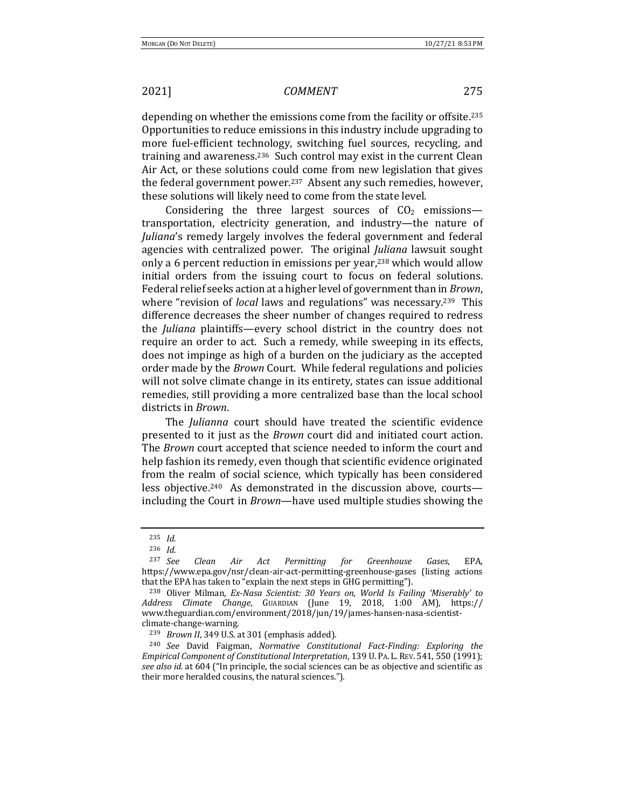depending on whether the emissions come from the facility or offsite.<sup>235</sup> Opportunities to reduce emissions in this industry include upgrading to more fuel-efficient technology, switching fuel sources, recycling, and training and awareness.<sup>236</sup> Such control may exist in the current Clean Air Act, or these solutions could come from new legislation that gives the federal government power.<sup>237</sup> Absent any such remedies, however, these solutions will likely need to come from the state level.

Considering the three largest sources of  $CO<sub>2</sub>$  emissions transportation, electricity generation, and industry—the nature of *Juliana*'s remedy largely involves the federal government and federal agencies with centralized power. The original *Juliana* lawsuit sought only a 6 percent reduction in emissions per year,<sup>238</sup> which would allow initial orders from the issuing court to focus on federal solutions. Federal relief seeks action at a higher level of government than in *Brown*, where "revision of *local* laws and regulations" was necessary.<sup>239</sup> This difference decreases the sheer number of changes required to redress the *Juliana* plaintiffs—every school district in the country does not require an order to act. Such a remedy, while sweeping in its effects, does not impinge as high of a burden on the judiciary as the accepted order made by the *Brown* Court. While federal regulations and policies will not solve climate change in its entirety, states can issue additional remedies, still providing a more centralized base than the local school districts in *Brown*.

The *Julianna* court should have treated the scientific evidence presented to it just as the *Brown* court did and initiated court action. The *Brown* court accepted that science needed to inform the court and help fashion its remedy, even though that scientific evidence originated from the realm of social science, which typically has been considered less objective.<sup>240</sup> As demonstrated in the discussion above, courts including the Court in *Brown*—have used multiple studies showing the

<sup>235</sup> *Id.*

<sup>236</sup> *Id.*

<sup>237</sup> *See Clean Air Act Permitting for Greenhouse Gases*, EPA, https://www.epa.gov/nsr/clean-air-act-permitting-greenhouse-gases (listing actions that the EPA has taken to "explain the next steps in GHG permitting").

<sup>&</sup>lt;sup>238</sup> Oliver Milman, *Ex-Nasa Scientist: 30 Years on, World Is Failing 'Miserably' to Address Climate Change*, GUARDIAN (June 19, 2018, 1:00 AM), https:// www.theguardian.com/environment/2018/jun/19/james-hansen-nasa-scientistclimate-change-warning.

<sup>&</sup>lt;sup>239</sup> *Brown II*, 349 U.S. at 301 (emphasis added).

<sup>&</sup>lt;sup>240</sup> *See* David Faigman, *Normative Constitutional Fact-Finding: Exploring the Empirical Component of Constitutional Interpretation*, 139 U. PA. L. REV. 541, 550 (1991); see also *id.* at 604 ("In principle, the social sciences can be as objective and scientific as their more heralded cousins, the natural sciences.").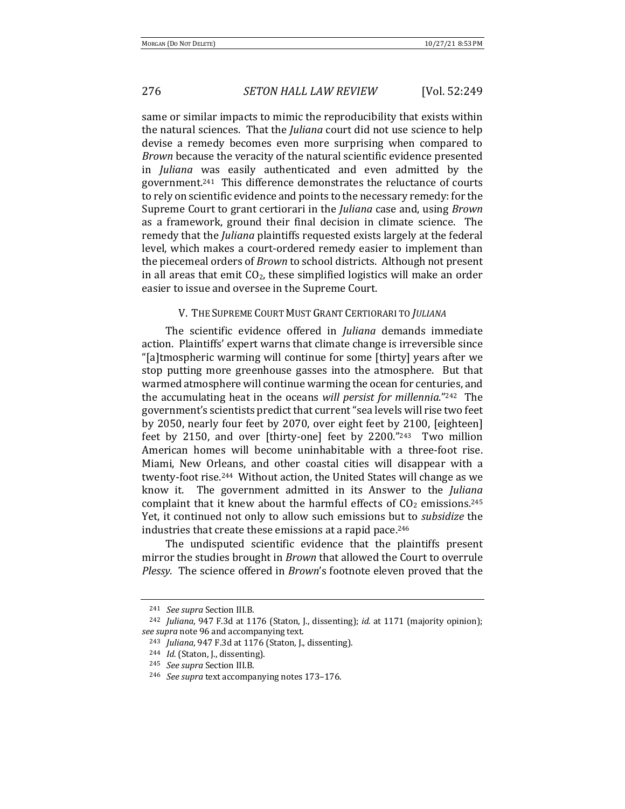## 276 *SETON HALL LAW REVIEW* [Vol. 52:249

same or similar impacts to mimic the reproducibility that exists within the natural sciences. That the *Juliana* court did not use science to help devise a remedy becomes even more surprising when compared to *Brown* because the veracity of the natural scientific evidence presented in *Juliana* was easily authenticated and even admitted by the government.<sup>241</sup> This difference demonstrates the reluctance of courts to rely on scientific evidence and points to the necessary remedy: for the Supreme Court to grant certiorari in the *Juliana* case and, using *Brown* as a framework, ground their final decision in climate science. The remedy that the *Juliana* plaintiffs requested exists largely at the federal level, which makes a court-ordered remedy easier to implement than the piecemeal orders of *Brown* to school districts. Although not present in all areas that emit  $CO<sub>2</sub>$ , these simplified logistics will make an order easier to issue and oversee in the Supreme Court.

### V. THE SUPREME COURT MUST GRANT CERTIORARI TO *JULIANA*

The scientific evidence offered in *Juliana* demands immediate action. Plaintiffs' expert warns that climate change is irreversible since "[a]tmospheric warming will continue for some [thirty] years after we stop putting more greenhouse gasses into the atmosphere. But that warmed atmosphere will continue warming the ocean for centuries, and the accumulating heat in the oceans will persist for millennia."<sup>242</sup> The government's scientists predict that current "sea levels will rise two feet by 2050, nearly four feet by 2070, over eight feet by 2100, [eighteen] feet by 2150, and over [thirty-one] feet by 2200."243 Two million American homes will become uninhabitable with a three-foot rise. Miami, New Orleans, and other coastal cities will disappear with a twenty-foot rise.<sup>244</sup> Without action, the United States will change as we know it. The government admitted in its Answer to the *Juliana* complaint that it knew about the harmful effects of  $CO<sub>2</sub>$  emissions.<sup>245</sup> Yet, it continued not only to allow such emissions but to *subsidize* the industries that create these emissions at a rapid pace. $246$ 

The undisputed scientific evidence that the plaintiffs present mirror the studies brought in *Brown* that allowed the Court to overrule *Plessy*. The science offered in *Brown*'s footnote eleven proved that the

<sup>241</sup> *See supra* Section III.B.

<sup>&</sup>lt;sup>242</sup> *Juliana*, 947 F.3d at 1176 (Staton, J., dissenting); *id.* at 1171 (majority opinion); *see supra* note 96 and accompanying text.

<sup>&</sup>lt;sup>243</sup> *Juliana*, 947 F.3d at 1176 (Staton, J., dissenting).

<sup>&</sup>lt;sup>244</sup> *Id.* (Staton, J., dissenting).

<sup>245</sup> *See supra* Section III.B.

<sup>&</sup>lt;sup>246</sup> *See supra* text accompanying notes 173-176.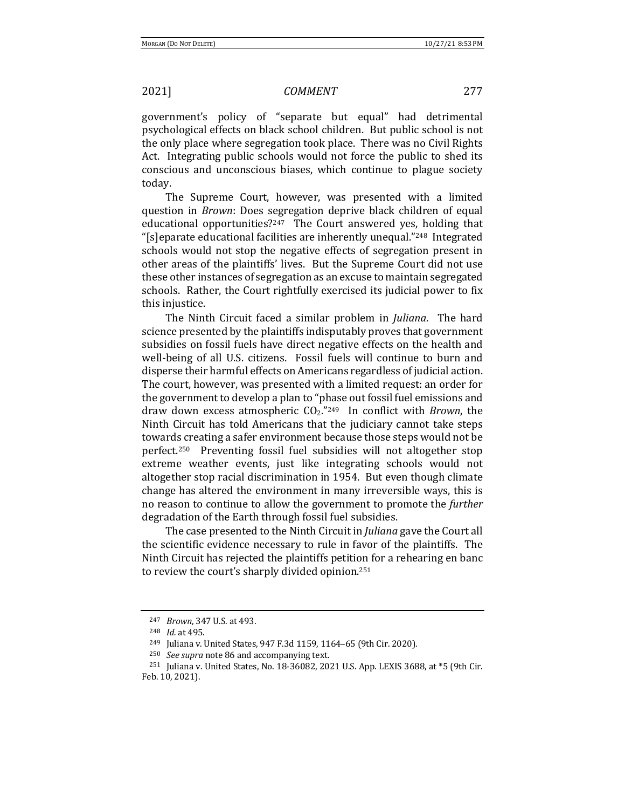government's policy of "separate but equal" had detrimental psychological effects on black school children. But public school is not the only place where segregation took place. There was no Civil Rights Act. Integrating public schools would not force the public to shed its conscious and unconscious biases, which continue to plague society today. 

The Supreme Court, however, was presented with a limited question in *Brown*: Does segregation deprive black children of equal educational opportunities? $247$  The Court answered yes, holding that "[s]eparate educational facilities are inherently unequal."<sup>248</sup> Integrated schools would not stop the negative effects of segregation present in other areas of the plaintiffs' lives. But the Supreme Court did not use these other instances of segregation as an excuse to maintain segregated schools. Rather, the Court rightfully exercised its judicial power to fix this injustice.

The Ninth Circuit faced a similar problem in *Juliana*. The hard science presented by the plaintiffs indisputably proves that government subsidies on fossil fuels have direct negative effects on the health and well-being of all U.S. citizens. Fossil fuels will continue to burn and disperse their harmful effects on Americans regardless of judicial action. The court, however, was presented with a limited request: an order for the government to develop a plan to "phase out fossil fuel emissions and draw down excess atmospheric  $CO<sub>2</sub>$ ."<sup>249</sup> In conflict with *Brown*, the Ninth Circuit has told Americans that the judiciary cannot take steps towards creating a safer environment because those steps would not be perfect.<sup>250</sup> Preventing fossil fuel subsidies will not altogether stop extreme weather events, just like integrating schools would not altogether stop racial discrimination in 1954. But even though climate change has altered the environment in many irreversible ways, this is no reason to continue to allow the government to promote the *further* degradation of the Earth through fossil fuel subsidies.

The case presented to the Ninth Circuit in *Juliana* gave the Court all the scientific evidence necessary to rule in favor of the plaintiffs. The Ninth Circuit has rejected the plaintiffs petition for a rehearing en banc to review the court's sharply divided opinion.<sup>251</sup>

<sup>247</sup> *Brown*, 347 U.S. at 493.

<sup>&</sup>lt;sup>248</sup> *Id.* at 495.

<sup>&</sup>lt;sup>249</sup> Juliana v. United States, 947 F.3d 1159, 1164-65 (9th Cir. 2020).

<sup>&</sup>lt;sup>250</sup> *See supra* note 86 and accompanying text.

<sup>&</sup>lt;sup>251</sup> Juliana v. United States, No. 18-36082, 2021 U.S. App. LEXIS 3688, at  $*5$  (9th Cir. Feb. 10, 2021).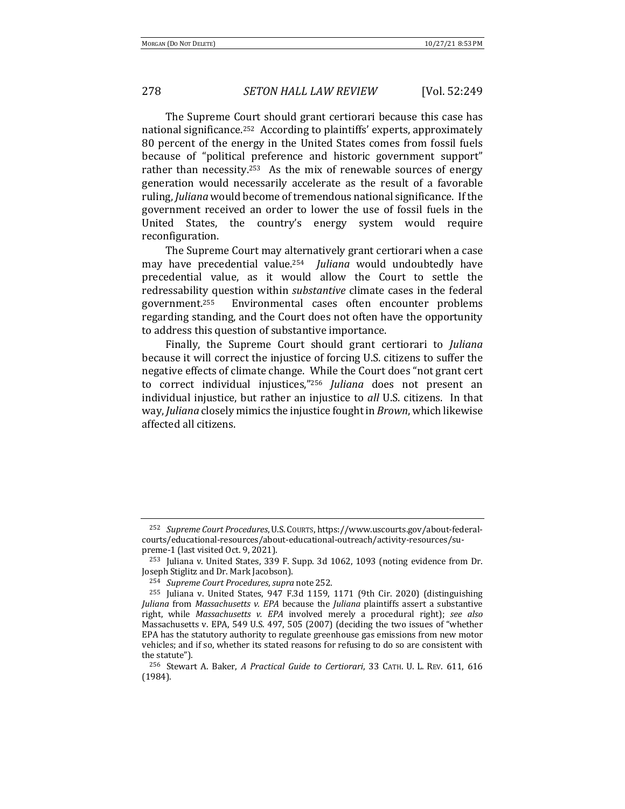The Supreme Court should grant certiorari because this case has national significance.<sup>252</sup> According to plaintiffs' experts, approximately 80 percent of the energy in the United States comes from fossil fuels because of "political preference and historic government support" rather than necessity.<sup>253</sup> As the mix of renewable sources of energy generation would necessarily accelerate as the result of a favorable ruling, *Juliana* would become of tremendous national significance. If the government received an order to lower the use of fossil fuels in the United States, the country's energy system would require reconfiguration. 

The Supreme Court may alternatively grant certiorari when a case may have precedential value.<sup>254</sup> *Juliana* would undoubtedly have precedential value, as it would allow the Court to settle the redressability question within *substantive* climate cases in the federal government.<sup>255</sup> Environmental cases often encounter problems regarding standing, and the Court does not often have the opportunity to address this question of substantive importance.

Finally, the Supreme Court should grant certiorari to *Juliana* because it will correct the injustice of forcing U.S. citizens to suffer the negative effects of climate change. While the Court does "not grant cert to correct individual injustices,"<sup>256</sup> *Juliana* does not present an individual injustice, but rather an injustice to *all* U.S. citizens. In that way, *Juliana* closely mimics the injustice fought in *Brown*, which likewise affected all citizens.

<sup>&</sup>lt;sup>252</sup> Supreme Court Procedures, U.S. Courts, https://www.uscourts.gov/about-federalcourts/educational-resources/about-educational-outreach/activity-resources/supreme-1 (last visited Oct. 9, 2021).

 $253$  Juliana v. United States, 339 F. Supp. 3d 1062, 1093 (noting evidence from Dr. Joseph Stiglitz and Dr. Mark Jacobson).

<sup>&</sup>lt;sup>254</sup> *Supreme Court Procedures, supra* note 252.

 $255$  Juliana v. United States, 947 F.3d 1159, 1171 (9th Cir. 2020) (distinguishing *Juliana* from *Massachusetts v. EPA* because the *Juliana* plaintiffs assert a substantive right, while *Massachusetts v. EPA* involved merely a procedural right); *see also* Massachusetts v. EPA, 549 U.S. 497, 505 (2007) (deciding the two issues of "whether EPA has the statutory authority to regulate greenhouse gas emissions from new motor vehicles; and if so, whether its stated reasons for refusing to do so are consistent with the statute").

<sup>&</sup>lt;sup>256</sup> Stewart A. Baker, A Practical Guide to Certiorari, 33 CATH. U. L. REV. 611, 616 (1984).